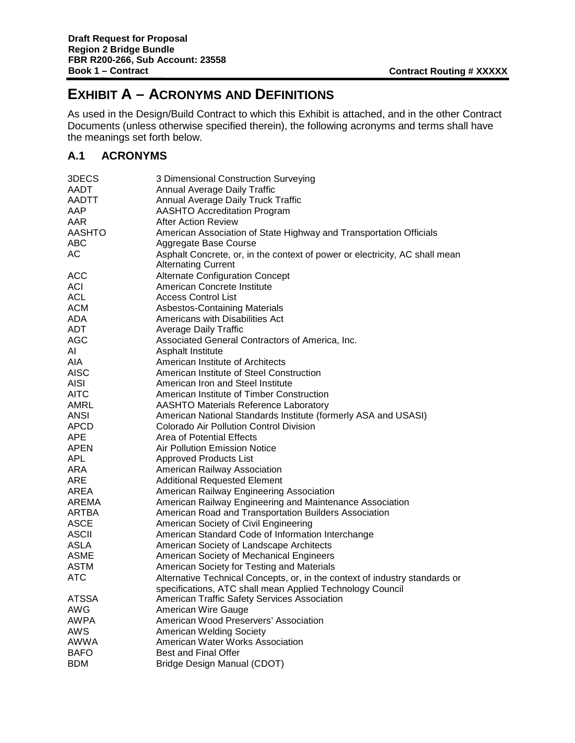# **EXHIBIT A – ACRONYMS AND DEFINITIONS**

As used in the Design/Build Contract to which this Exhibit is attached, and in the other Contract Documents (unless otherwise specified therein), the following acronyms and terms shall have the meanings set forth below.

### **A.1 ACRONYMS**

| 3DECS         | 3 Dimensional Construction Surveying                                        |
|---------------|-----------------------------------------------------------------------------|
| AADT          | Annual Average Daily Traffic                                                |
| AADTT         | <b>Annual Average Daily Truck Traffic</b>                                   |
| <b>AAP</b>    | <b>AASHTO Accreditation Program</b>                                         |
| AAR           | After Action Review                                                         |
| <b>AASHTO</b> | American Association of State Highway and Transportation Officials          |
| <b>ABC</b>    | Aggregate Base Course                                                       |
| AC            | Asphalt Concrete, or, in the context of power or electricity, AC shall mean |
|               | <b>Alternating Current</b>                                                  |
| <b>ACC</b>    | <b>Alternate Configuration Concept</b>                                      |
| ACI           | American Concrete Institute                                                 |
| <b>ACL</b>    | <b>Access Control List</b>                                                  |
| <b>ACM</b>    | <b>Asbestos-Containing Materials</b>                                        |
| ADA           | Americans with Disabilities Act                                             |
| ADT           | <b>Average Daily Traffic</b>                                                |
| <b>AGC</b>    | Associated General Contractors of America, Inc.                             |
| AI            | Asphalt Institute                                                           |
| <b>AIA</b>    | American Institute of Architects                                            |
| <b>AISC</b>   | American Institute of Steel Construction                                    |
| <b>AISI</b>   | American Iron and Steel Institute                                           |
| <b>AITC</b>   | American Institute of Timber Construction                                   |
| AMRL          | <b>AASHTO Materials Reference Laboratory</b>                                |
| <b>ANSI</b>   | American National Standards Institute (formerly ASA and USASI)              |
| <b>APCD</b>   | <b>Colorado Air Pollution Control Division</b>                              |
| <b>APE</b>    | Area of Potential Effects                                                   |
| <b>APEN</b>   | Air Pollution Emission Notice                                               |
| <b>APL</b>    | <b>Approved Products List</b>                                               |
| ARA           | American Railway Association                                                |
| <b>ARE</b>    | <b>Additional Requested Element</b>                                         |
| AREA          | American Railway Engineering Association                                    |
| AREMA         | American Railway Engineering and Maintenance Association                    |
| ARTBA         | American Road and Transportation Builders Association                       |
| <b>ASCE</b>   | American Society of Civil Engineering                                       |
| <b>ASCII</b>  | American Standard Code of Information Interchange                           |
| <b>ASLA</b>   | American Society of Landscape Architects                                    |
| <b>ASME</b>   | American Society of Mechanical Engineers                                    |
| ASTM          | American Society for Testing and Materials                                  |
| <b>ATC</b>    | Alternative Technical Concepts, or, in the context of industry standards or |
|               | specifications, ATC shall mean Applied Technology Council                   |
| <b>ATSSA</b>  | American Traffic Safety Services Association                                |
| <b>AWG</b>    | American Wire Gauge                                                         |
| <b>AWPA</b>   | American Wood Preservers' Association                                       |
| <b>AWS</b>    | <b>American Welding Society</b>                                             |
| <b>AWWA</b>   | American Water Works Association                                            |
| <b>BAFO</b>   | <b>Best and Final Offer</b>                                                 |
| <b>BDM</b>    | Bridge Design Manual (CDOT)                                                 |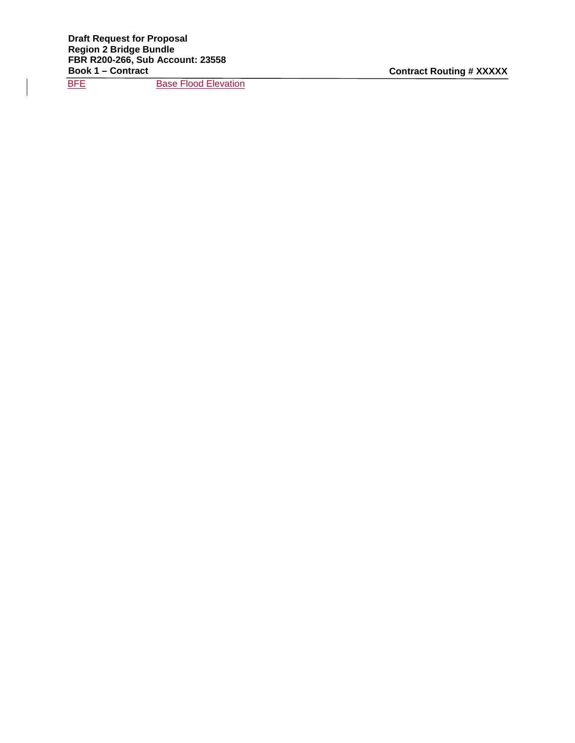BFE Base Flood Elevation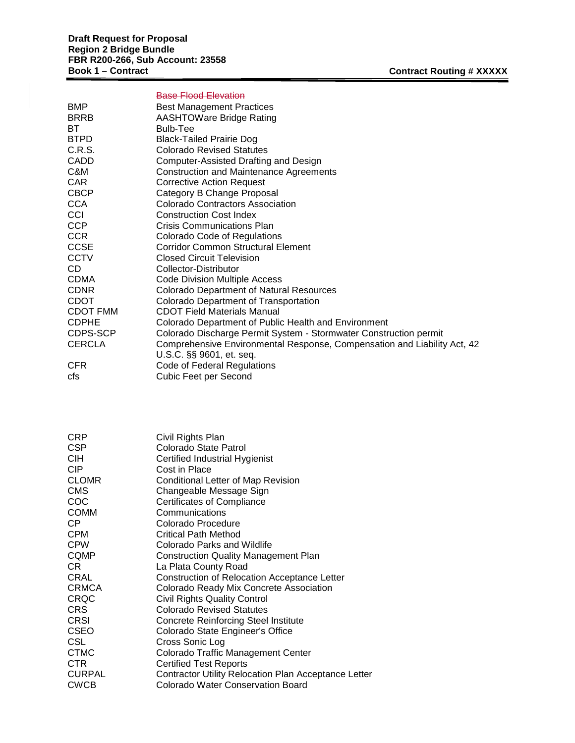|                 | <b>Base Flood Elevation</b>                                              |
|-----------------|--------------------------------------------------------------------------|
| <b>BMP</b>      | <b>Best Management Practices</b>                                         |
| <b>BRRB</b>     | <b>AASHTOWare Bridge Rating</b>                                          |
| BT.             | <b>Bulb-Tee</b>                                                          |
| <b>BTPD</b>     | <b>Black-Tailed Prairie Dog</b>                                          |
| C.R.S.          | <b>Colorado Revised Statutes</b>                                         |
| CADD            | Computer-Assisted Drafting and Design                                    |
| C&M             | <b>Construction and Maintenance Agreements</b>                           |
| <b>CAR</b>      | <b>Corrective Action Request</b>                                         |
| <b>CBCP</b>     | Category B Change Proposal                                               |
| <b>CCA</b>      | <b>Colorado Contractors Association</b>                                  |
| <b>CCI</b>      | <b>Construction Cost Index</b>                                           |
| CCP             | <b>Crisis Communications Plan</b>                                        |
| <b>CCR</b>      | Colorado Code of Regulations                                             |
| <b>CCSE</b>     | <b>Corridor Common Structural Element</b>                                |
| <b>CCTV</b>     | <b>Closed Circuit Television</b>                                         |
| CD.             | Collector-Distributor                                                    |
| <b>CDMA</b>     | <b>Code Division Multiple Access</b>                                     |
| <b>CDNR</b>     | <b>Colorado Department of Natural Resources</b>                          |
| <b>CDOT</b>     | Colorado Department of Transportation                                    |
| <b>CDOT FMM</b> | <b>CDOT Field Materials Manual</b>                                       |
| <b>CDPHE</b>    | Colorado Department of Public Health and Environment                     |
| CDPS-SCP        | Colorado Discharge Permit System - Stormwater Construction permit        |
| <b>CERCLA</b>   | Comprehensive Environmental Response, Compensation and Liability Act, 42 |
|                 | U.S.C. §§ 9601, et. seq.                                                 |
| <b>CFR</b>      | Code of Federal Regulations                                              |
| cfs             | <b>Cubic Feet per Second</b>                                             |

| CRP           | Civil Rights Plan                                           |
|---------------|-------------------------------------------------------------|
| <b>CSP</b>    | Colorado State Patrol                                       |
| CIH.          | Certified Industrial Hygienist                              |
| <b>CIP</b>    | Cost in Place                                               |
| <b>CLOMR</b>  | Conditional Letter of Map Revision                          |
| <b>CMS</b>    | Changeable Message Sign                                     |
| COC           | Certificates of Compliance                                  |
| <b>COMM</b>   | Communications                                              |
| CP.           | Colorado Procedure                                          |
| <b>CPM</b>    | <b>Critical Path Method</b>                                 |
| <b>CPW</b>    | Colorado Parks and Wildlife                                 |
| <b>CQMP</b>   | <b>Construction Quality Management Plan</b>                 |
| CR.           | La Plata County Road                                        |
| <b>CRAL</b>   | Construction of Relocation Acceptance Letter                |
| <b>CRMCA</b>  | Colorado Ready Mix Concrete Association                     |
| CRQC          | <b>Civil Rights Quality Control</b>                         |
| CRS.          | <b>Colorado Revised Statutes</b>                            |
| <b>CRSI</b>   | <b>Concrete Reinforcing Steel Institute</b>                 |
| <b>CSEO</b>   | Colorado State Engineer's Office                            |
| CSL           | Cross Sonic Log                                             |
| <b>CTMC</b>   | Colorado Traffic Management Center                          |
| CTR.          | <b>Certified Test Reports</b>                               |
| <b>CURPAL</b> | <b>Contractor Utility Relocation Plan Acceptance Letter</b> |
| <b>CWCB</b>   | Colorado Water Conservation Board                           |
|               |                                                             |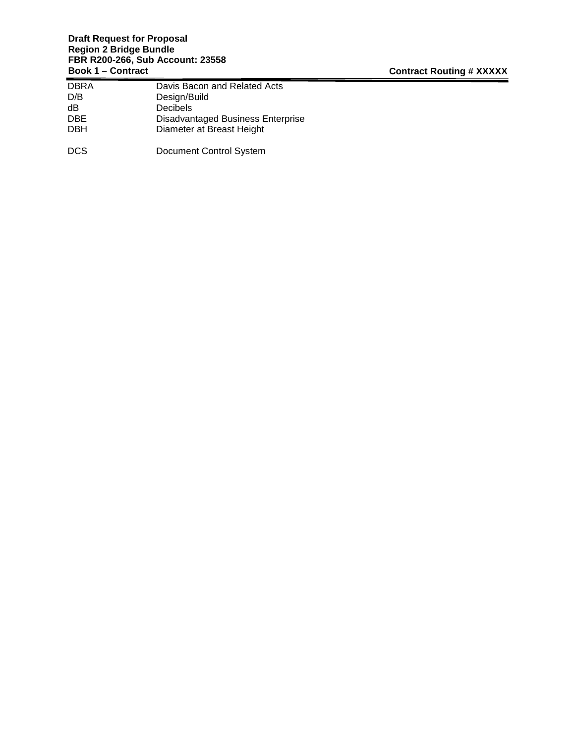#### **Draft Request for Proposal Region 2 Bridge Bundle FBR R200-266, Sub Account: 23558 Book 1 – Contract Contract Routing # XXXXX**

| <b>DBRA</b> | Davis Bacon and Related Acts             |
|-------------|------------------------------------------|
| D/B         | Design/Build                             |
| dВ          | Decibels                                 |
| <b>DBE</b>  | <b>Disadvantaged Business Enterprise</b> |
| <b>DBH</b>  | Diameter at Breast Height                |
| DCS         | Document Control System                  |
|             |                                          |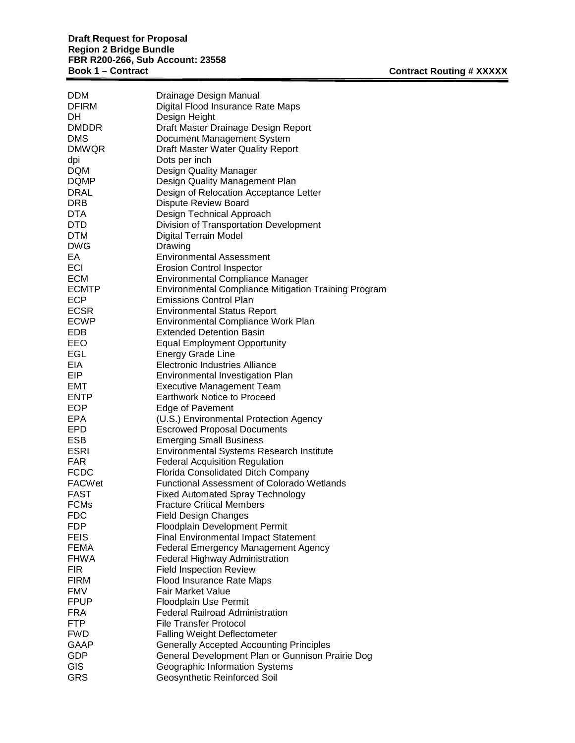| <b>DDM</b>   | Drainage Design Manual                                      |
|--------------|-------------------------------------------------------------|
| <b>DFIRM</b> | Digital Flood Insurance Rate Maps                           |
| DH.          | Design Height                                               |
| <b>DMDDR</b> | Draft Master Drainage Design Report                         |
| <b>DMS</b>   | Document Management System                                  |
| <b>DMWQR</b> | Draft Master Water Quality Report                           |
| dpi          | Dots per inch                                               |
| <b>DQM</b>   | Design Quality Manager                                      |
| <b>DQMP</b>  | Design Quality Management Plan                              |
| <b>DRAL</b>  | Design of Relocation Acceptance Letter                      |
| <b>DRB</b>   | <b>Dispute Review Board</b>                                 |
| <b>DTA</b>   | Design Technical Approach                                   |
| <b>DTD</b>   | Division of Transportation Development                      |
| <b>DTM</b>   |                                                             |
|              | <b>Digital Terrain Model</b>                                |
| <b>DWG</b>   | Drawing                                                     |
| EA.          | <b>Environmental Assessment</b>                             |
| ECI          | <b>Erosion Control Inspector</b>                            |
| <b>ECM</b>   | <b>Environmental Compliance Manager</b>                     |
| <b>ECMTP</b> | <b>Environmental Compliance Mitigation Training Program</b> |
| <b>ECP</b>   | <b>Emissions Control Plan</b>                               |
| <b>ECSR</b>  | <b>Environmental Status Report</b>                          |
| <b>ECWP</b>  | <b>Environmental Compliance Work Plan</b>                   |
| EDB          | <b>Extended Detention Basin</b>                             |
| EEO          | <b>Equal Employment Opportunity</b>                         |
| EGL          | <b>Energy Grade Line</b>                                    |
| <b>EIA</b>   | Electronic Industries Alliance                              |
| EIP          | Environmental Investigation Plan                            |
| EMT          | <b>Executive Management Team</b>                            |
| <b>ENTP</b>  | <b>Earthwork Notice to Proceed</b>                          |
| <b>EOP</b>   | Edge of Pavement                                            |
| <b>EPA</b>   | (U.S.) Environmental Protection Agency                      |
| <b>EPD</b>   | <b>Escrowed Proposal Documents</b>                          |
| <b>ESB</b>   | <b>Emerging Small Business</b>                              |
| <b>ESRI</b>  | <b>Environmental Systems Research Institute</b>             |
| <b>FAR</b>   | <b>Federal Acquisition Regulation</b>                       |
| <b>FCDC</b>  | Florida Consolidated Ditch Company                          |
| FACWet       | <b>Functional Assessment of Colorado Wetlands</b>           |
| <b>FAST</b>  | <b>Fixed Automated Spray Technology</b>                     |
| <b>FCMs</b>  | <b>Fracture Critical Members</b>                            |
| FDC          | Field Design Changes                                        |
| <b>FDP</b>   | Floodplain Development Permit                               |
| <b>FEIS</b>  | <b>Final Environmental Impact Statement</b>                 |
| <b>FEMA</b>  | <b>Federal Emergency Management Agency</b>                  |
| <b>FHWA</b>  | Federal Highway Administration                              |
| FIR          | <b>Field Inspection Review</b>                              |
| <b>FIRM</b>  | Flood Insurance Rate Maps                                   |
| <b>FMV</b>   | <b>Fair Market Value</b>                                    |
| <b>FPUP</b>  | Floodplain Use Permit                                       |
| <b>FRA</b>   | <b>Federal Railroad Administration</b>                      |
| <b>FTP</b>   | <b>File Transfer Protocol</b>                               |
| <b>FWD</b>   | <b>Falling Weight Deflectometer</b>                         |
| GAAP         |                                                             |
| <b>GDP</b>   | <b>Generally Accepted Accounting Principles</b>             |
|              | General Development Plan or Gunnison Prairie Dog            |
| GIS          | Geographic Information Systems                              |
| <b>GRS</b>   | Geosynthetic Reinforced Soil                                |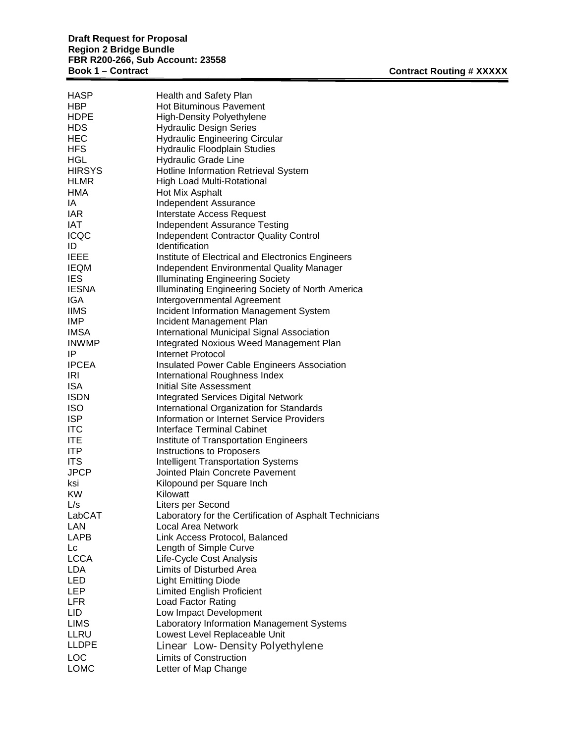| HASP         | Health and Safety Plan                                  |
|--------------|---------------------------------------------------------|
| HBP          | <b>Hot Bituminous Pavement</b>                          |
| HDPE         | <b>High-Density Polyethylene</b>                        |
| HDS          | <b>Hydraulic Design Series</b>                          |
| HEC          | <b>Hydraulic Engineering Circular</b>                   |
| HFS          | <b>Hydraulic Floodplain Studies</b>                     |
| HGL          | <b>Hydraulic Grade Line</b>                             |
| HIRSYS       | Hotline Information Retrieval System                    |
| HLMR         | <b>High Load Multi-Rotational</b>                       |
| HMA          | Hot Mix Asphalt                                         |
| ΙA           | <b>Independent Assurance</b>                            |
| IAR          | Interstate Access Request                               |
| IAT          | <b>Independent Assurance Testing</b>                    |
| ICQC         | <b>Independent Contractor Quality Control</b>           |
| ID           | <b>Identification</b>                                   |
| IEEE         | Institute of Electrical and Electronics Engineers       |
| IEQM         | <b>Independent Environmental Quality Manager</b>        |
| <b>IES</b>   | <b>Illuminating Engineering Society</b>                 |
| <b>IESNA</b> | Illuminating Engineering Society of North America       |
| IGA          |                                                         |
|              | Intergovernmental Agreement                             |
| IIMS         | Incident Information Management System                  |
| IMP          | Incident Management Plan                                |
| IMSA         | International Municipal Signal Association              |
| <b>INWMP</b> | Integrated Noxious Weed Management Plan                 |
| IP           | Internet Protocol                                       |
| <b>IPCEA</b> | <b>Insulated Power Cable Engineers Association</b>      |
| IRI          | International Roughness Index                           |
| ISA          | <b>Initial Site Assessment</b>                          |
| <b>ISDN</b>  | <b>Integrated Services Digital Network</b>              |
| ISO          | International Organization for Standards                |
| ISP          | Information or Internet Service Providers               |
| ITC          | Interface Terminal Cabinet                              |
| ITE          | Institute of Transportation Engineers                   |
| ITP          | <b>Instructions to Proposers</b>                        |
| ITS          | <b>Intelligent Transportation Systems</b>               |
| <b>JPCP</b>  | <b>Jointed Plain Concrete Pavement</b>                  |
| ksi          | Kilopound per Square Inch                               |
| KW.          | Kilowatt                                                |
| L/s          | Liters per Second                                       |
| LabCAT       | Laboratory for the Certification of Asphalt Technicians |
| LAN          | Local Area Network                                      |
| LAPB         | Link Access Protocol, Balanced                          |
| Lc           | Length of Simple Curve                                  |
| LCCA         | Life-Cycle Cost Analysis                                |
| LDA          | Limits of Disturbed Area                                |
| LED          | <b>Light Emitting Diode</b>                             |
| LEP          | <b>Limited English Proficient</b>                       |
| LFR          | Load Factor Rating                                      |
| LID          | Low Impact Development                                  |
| LIMS         | Laboratory Information Management Systems               |
| LLRU         | Lowest Level Replaceable Unit                           |
|              |                                                         |

LOC Limits of Construction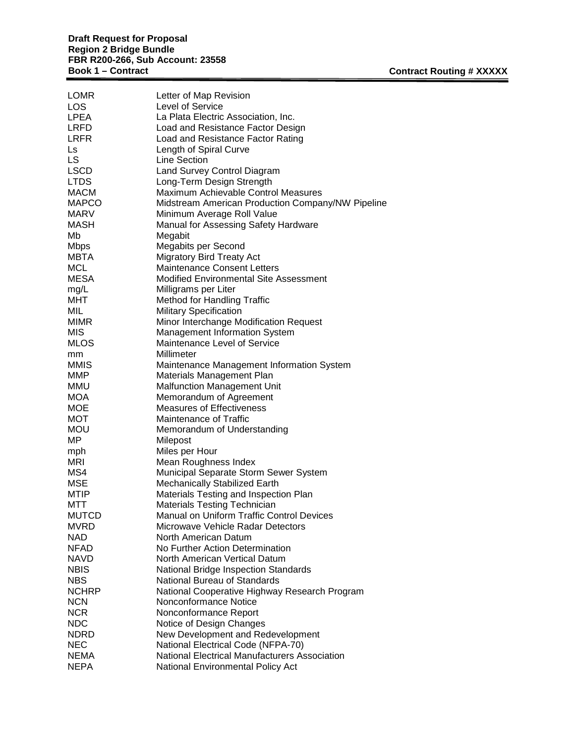| <b>LOMR</b>       | Letter of Map Revision                            |
|-------------------|---------------------------------------------------|
| LOS               | Level of Service                                  |
| <b>LPEA</b>       | La Plata Electric Association, Inc.               |
| <b>LRFD</b>       | Load and Resistance Factor Design                 |
| <b>LRFR</b>       | Load and Resistance Factor Rating                 |
| Ls                | Length of Spiral Curve                            |
| LS                | Line Section                                      |
| <b>LSCD</b>       | Land Survey Control Diagram                       |
| <b>LTDS</b>       | Long-Term Design Strength                         |
| <b>MACM</b>       | Maximum Achievable Control Measures               |
| <b>MAPCO</b>      | Midstream American Production Company/NW Pipeline |
| <b>MARV</b>       | Minimum Average Roll Value                        |
| <b>MASH</b>       | Manual for Assessing Safety Hardware              |
| Mb                | Megabit                                           |
| <b>Mbps</b>       | Megabits per Second                               |
| <b>MBTA</b>       | <b>Migratory Bird Treaty Act</b>                  |
| MCL               | <b>Maintenance Consent Letters</b>                |
| MESA              | <b>Modified Environmental Site Assessment</b>     |
| mg/L              | Milligrams per Liter                              |
| MHT               | Method for Handling Traffic                       |
| MIL               | <b>Military Specification</b>                     |
| <b>MIMR</b>       | Minor Interchange Modification Request            |
| <b>MIS</b>        | <b>Management Information System</b>              |
| <b>MLOS</b>       | Maintenance Level of Service                      |
|                   | Millimeter                                        |
| mm<br><b>MMIS</b> |                                                   |
| <b>MMP</b>        | Maintenance Management Information System         |
|                   | Materials Management Plan                         |
| <b>MMU</b>        | <b>Malfunction Management Unit</b>                |
| <b>MOA</b>        | Memorandum of Agreement                           |
| MOE               | <b>Measures of Effectiveness</b>                  |
| <b>MOT</b>        | Maintenance of Traffic                            |
| <b>MOU</b>        | Memorandum of Understanding                       |
| MP                | Milepost                                          |
| mph               | Miles per Hour                                    |
| MRI               | Mean Roughness Index                              |
| MS4               | Municipal Separate Storm Sewer System             |
| <b>MSE</b>        | Mechanically Stabilized Earth                     |
| <b>MTIP</b>       | Materials Testing and Inspection Plan             |
| MTT               | <b>Materials Testing Technician</b>               |
| <b>MUTCD</b>      | Manual on Uniform Traffic Control Devices         |
| <b>MVRD</b>       | Microwave Vehicle Radar Detectors                 |
| <b>NAD</b>        | North American Datum                              |
| <b>NFAD</b>       | No Further Action Determination                   |
| <b>NAVD</b>       | North American Vertical Datum                     |
| <b>NBIS</b>       | National Bridge Inspection Standards              |
| <b>NBS</b>        | National Bureau of Standards                      |
| <b>NCHRP</b>      | National Cooperative Highway Research Program     |
| <b>NCN</b>        | Nonconformance Notice                             |
| <b>NCR</b>        | Nonconformance Report                             |
| <b>NDC</b>        | Notice of Design Changes                          |
| <b>NDRD</b>       | New Development and Redevelopment                 |
| <b>NEC</b>        | National Electrical Code (NFPA-70)                |
| <b>NEMA</b>       | National Electrical Manufacturers Association     |
| <b>NEPA</b>       | National Environmental Policy Act                 |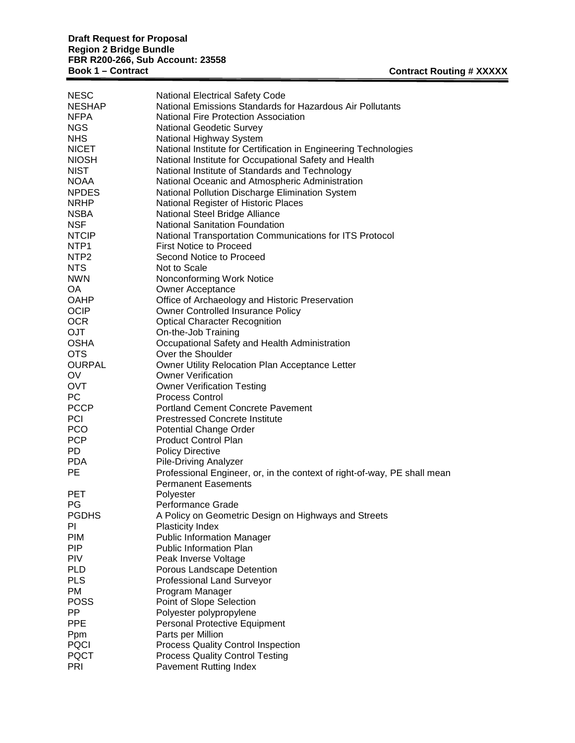| <b>NESC</b><br>NESHAP      | <b>National Electrical Safety Code</b><br>National Emissions Standards for Hazardous Air Pollutants |
|----------------------------|-----------------------------------------------------------------------------------------------------|
| <b>NFPA</b>                | <b>National Fire Protection Association</b>                                                         |
| <b>NGS</b>                 | <b>National Geodetic Survey</b>                                                                     |
| <b>NHS</b><br>NICET        | National Highway System<br>National Institute for Certification in Engineering Technologies         |
| <b>NIOSH</b>               | National Institute for Occupational Safety and Health                                               |
| <b>NIST</b>                | National Institute of Standards and Technology                                                      |
| <b>NOAA</b>                | National Oceanic and Atmospheric Administration                                                     |
| <b>NPDES</b>               | National Pollution Discharge Elimination System                                                     |
| <b>NRHP</b>                | National Register of Historic Places                                                                |
| <b>NSBA</b>                | National Steel Bridge Alliance                                                                      |
| <b>NSF</b>                 | <b>National Sanitation Foundation</b>                                                               |
| <b>NTCIP</b>               | National Transportation Communications for ITS Protocol                                             |
| NTP <sub>1</sub>           | <b>First Notice to Proceed</b>                                                                      |
| NTP <sub>2</sub>           | Second Notice to Proceed                                                                            |
| <b>NTS</b>                 | Not to Scale                                                                                        |
| <b>NWN</b>                 | Nonconforming Work Notice                                                                           |
| OA.                        | <b>Owner Acceptance</b>                                                                             |
| <b>OAHP</b>                | Office of Archaeology and Historic Preservation                                                     |
| <b>OCIP</b>                | Owner Controlled Insurance Policy                                                                   |
| <b>OCR</b>                 | <b>Optical Character Recognition</b>                                                                |
| <b>OJT</b>                 | On-the-Job Training                                                                                 |
| <b>OSHA</b>                | Occupational Safety and Health Administration                                                       |
| <b>OTS</b>                 | Over the Shoulder                                                                                   |
| OURPAL                     | Owner Utility Relocation Plan Acceptance Letter                                                     |
| <b>OV</b>                  | <b>Owner Verification</b>                                                                           |
| <b>OVT</b>                 | <b>Owner Verification Testing</b>                                                                   |
| PC.                        | <b>Process Control</b>                                                                              |
| <b>PCCP</b><br><b>PCI</b>  | <b>Portland Cement Concrete Pavement</b><br><b>Prestressed Concrete Institute</b>                   |
| <b>PCO</b>                 | <b>Potential Change Order</b>                                                                       |
| <b>PCP</b>                 | <b>Product Control Plan</b>                                                                         |
| PD.                        | <b>Policy Directive</b>                                                                             |
| <b>PDA</b>                 | <b>Pile-Driving Analyzer</b>                                                                        |
| <b>PE</b>                  | Professional Engineer, or, in the context of right-of-way, PE shall mean                            |
|                            | <b>Permanent Easements</b>                                                                          |
| <b>PET</b>                 | Polyester                                                                                           |
| PG                         | Performance Grade                                                                                   |
| <b>PGDHS</b>               | A Policy on Geometric Design on Highways and Streets                                                |
| PI                         | Plasticity Index                                                                                    |
| <b>PIM</b>                 | <b>Public Information Manager</b>                                                                   |
| <b>PIP</b>                 | Public Information Plan                                                                             |
| <b>PIV</b>                 | Peak Inverse Voltage                                                                                |
| <b>PLD</b>                 | Porous Landscape Detention                                                                          |
| <b>PLS</b>                 | Professional Land Surveyor                                                                          |
| <b>PM</b>                  | Program Manager                                                                                     |
| <b>POSS</b>                | Point of Slope Selection                                                                            |
| PP.                        | Polyester polypropylene                                                                             |
| <b>PPE</b>                 | Personal Protective Equipment                                                                       |
| Ppm                        | Parts per Million                                                                                   |
| <b>PQCI</b><br><b>PQCT</b> | Process Quality Control Inspection<br><b>Process Quality Control Testing</b>                        |
| PRI                        | <b>Pavement Rutting Index</b>                                                                       |
|                            |                                                                                                     |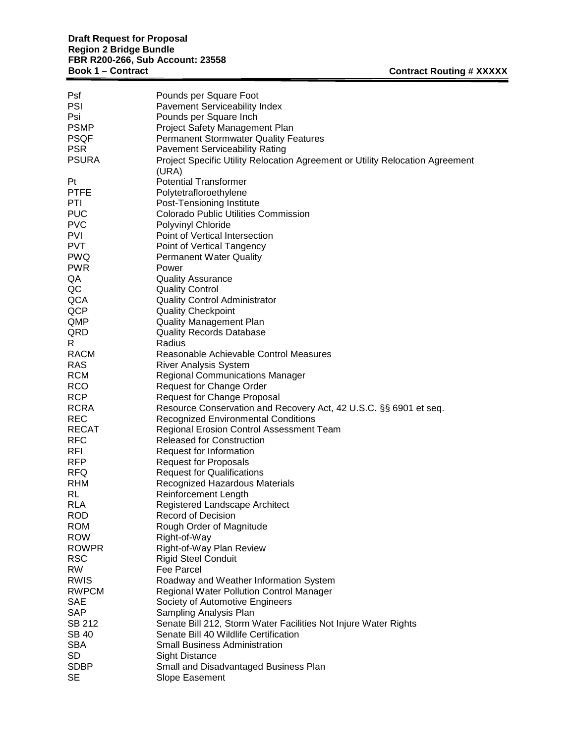PTFE<br>PTI

PWR<br>QA

QCP<br>QMP

| Psf         | Pounds per Square Foot                                                                 |
|-------------|----------------------------------------------------------------------------------------|
| PSI         | <b>Pavement Serviceability Index</b>                                                   |
| Psi         | Pounds per Square Inch                                                                 |
| PSMP        | Project Safety Management Plan                                                         |
| PSQF        | <b>Permanent Stormwater Quality Features</b>                                           |
| PSR         | <b>Pavement Serviceability Rating</b>                                                  |
| PSURA       | Project Specific Utility Relocation Agreement or Utility Relocation Agreement<br>(URA) |
| Pt          | <b>Potential Transformer</b>                                                           |
| PTFE        | Polytetrafloroethylene                                                                 |
| PTI         | Post-Tensioning Institute                                                              |
| <b>PUC</b>  | <b>Colorado Public Utilities Commission</b>                                            |
| <b>PVC</b>  | <b>Polyvinyl Chloride</b>                                                              |
| PVI         | Point of Vertical Intersection                                                         |
| PVT         | Point of Vertical Tangency                                                             |
| PWQ         | <b>Permanent Water Quality</b>                                                         |
| PWR         | Power                                                                                  |
| QA          | <b>Quality Assurance</b>                                                               |
| QC          | <b>Quality Control</b>                                                                 |
| QCA         | <b>Quality Control Administrator</b>                                                   |
| QCP         | <b>Quality Checkpoint</b>                                                              |
| QMP         | <b>Quality Management Plan</b>                                                         |
| QRD         | <b>Quality Records Database</b>                                                        |
| R.          | Radius                                                                                 |
| RACM        | Reasonable Achievable Control Measures                                                 |
| RAS         | <b>River Analysis System</b>                                                           |
| RCM         | <b>Regional Communications Manager</b>                                                 |
| RCO         | Request for Change Order                                                               |
| RCP         | <b>Request for Change Proposal</b>                                                     |
| <b>RCRA</b> | Resource Conservation and Recovery Act, 42 U.S.C. §§ 6901 et seq.                      |
| REC         | <b>Recognized Environmental Conditions</b>                                             |

- RFI Request for Information<br>RFP Request for Proposals RFP Request for Proposals<br>RFQ Request for Qualification **Request for Qualifications**
- RHM Recognized Hazardous Materials
- RL Reinforcement Length<br>RLA Registered Landscape
- RLA Registered Landscape Architect<br>ROD Record of Decision
- ROD Record of Decision<br>ROM Rough Order of Ma ROM Rough Order of Magnitude<br>
ROW Right-of-Way
- ROW Right-of-Way<br>ROWPR Right-of-Way ROWPR Right-of-Way Plan Review<br>RSC Rigid Steel Conduit Rigid Steel Conduit
- RW Fee Parcel<br>RWIS Roadway a Roadway and Weather Information System
- RWPCM Regional Water Pollution Control Manager
- SAE Society of Automotive Engineers<br>
SAP Sampling Analysis Plan
- Sampling Analysis Plan
- SB 212 Senate Bill 212, Storm Water Facilities Not Injure Water Rights
- SB 40 Senate Bill 40 Wildlife Certification<br>SBA Small Business Administration
- SBA Small Business Administration<br>SD Sight Distance
- Sight Distance
- SDBP Small and Disadvantaged Business Plan<br>SE Slope Easement Slope Easement

**Book 1 – Contract Contract Routing # XXXXX**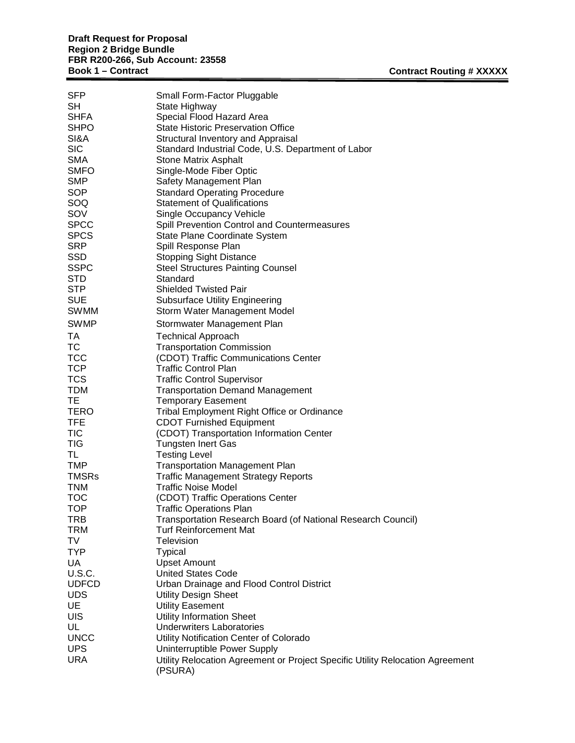| SFP          | Small Form-Factor Pluggable                                                              |
|--------------|------------------------------------------------------------------------------------------|
| SН           | State Highway                                                                            |
| <b>SHFA</b>  | Special Flood Hazard Area                                                                |
| <b>SHPO</b>  | <b>State Historic Preservation Office</b>                                                |
| SI&A         | Structural Inventory and Appraisal                                                       |
| <b>SIC</b>   | Standard Industrial Code, U.S. Department of Labor                                       |
| <b>SMA</b>   | <b>Stone Matrix Asphalt</b>                                                              |
| SMFO         | Single-Mode Fiber Optic                                                                  |
| <b>SMP</b>   | Safety Management Plan                                                                   |
| SOP          | <b>Standard Operating Procedure</b>                                                      |
| SOQ          | <b>Statement of Qualifications</b>                                                       |
| SOV          | Single Occupancy Vehicle                                                                 |
| <b>SPCC</b>  | Spill Prevention Control and Countermeasures                                             |
| <b>SPCS</b>  | State Plane Coordinate System                                                            |
| <b>SRP</b>   | Spill Response Plan                                                                      |
| <b>SSD</b>   | <b>Stopping Sight Distance</b>                                                           |
| <b>SSPC</b>  | <b>Steel Structures Painting Counsel</b>                                                 |
| STD          | Standard                                                                                 |
| <b>STP</b>   | <b>Shielded Twisted Pair</b>                                                             |
| <b>SUE</b>   | <b>Subsurface Utility Engineering</b>                                                    |
|              | Storm Water Management Model                                                             |
| <b>SWMM</b>  |                                                                                          |
| <b>SWMP</b>  | Stormwater Management Plan                                                               |
| TA           | <b>Technical Approach</b>                                                                |
| TC           | <b>Transportation Commission</b>                                                         |
| <b>TCC</b>   | (CDOT) Traffic Communications Center                                                     |
| <b>TCP</b>   | <b>Traffic Control Plan</b>                                                              |
| <b>TCS</b>   | <b>Traffic Control Supervisor</b>                                                        |
| <b>TDM</b>   | <b>Transportation Demand Management</b>                                                  |
| TE.          | <b>Temporary Easement</b>                                                                |
| <b>TERO</b>  | Tribal Employment Right Office or Ordinance                                              |
| <b>TFE</b>   | <b>CDOT Furnished Equipment</b>                                                          |
| <b>TIC</b>   | (CDOT) Transportation Information Center                                                 |
| TIG.         | <b>Tungsten Inert Gas</b>                                                                |
| TL.          | <b>Testing Level</b>                                                                     |
| TMP          | <b>Transportation Management Plan</b>                                                    |
| <b>TMSRs</b> | <b>Traffic Management Strategy Reports</b>                                               |
| TNM          | <b>Traffic Noise Model</b>                                                               |
| тос          | (CDOT) Traffic Operations Center                                                         |
| TOP          | <b>Traffic Operations Plan</b>                                                           |
| TRB          | Transportation Research Board (of National Research Council)                             |
| TRM          | <b>Turf Reinforcement Mat</b>                                                            |
| TV           | <b>Television</b>                                                                        |
| <b>TYP</b>   | <b>Typical</b>                                                                           |
| UA           | <b>Upset Amount</b>                                                                      |
| U.S.C.       | <b>United States Code</b>                                                                |
| <b>UDFCD</b> | Urban Drainage and Flood Control District                                                |
| <b>UDS</b>   | <b>Utility Design Sheet</b>                                                              |
| UE           | <b>Utility Easement</b>                                                                  |
| <b>UIS</b>   | <b>Utility Information Sheet</b>                                                         |
| UL           | <b>Underwriters Laboratories</b>                                                         |
| <b>UNCC</b>  | Utility Notification Center of Colorado                                                  |
| <b>UPS</b>   | Uninterruptible Power Supply                                                             |
| <b>URA</b>   |                                                                                          |
|              | Utility Relocation Agreement or Project Specific Utility Relocation Agreement<br>(PSURA) |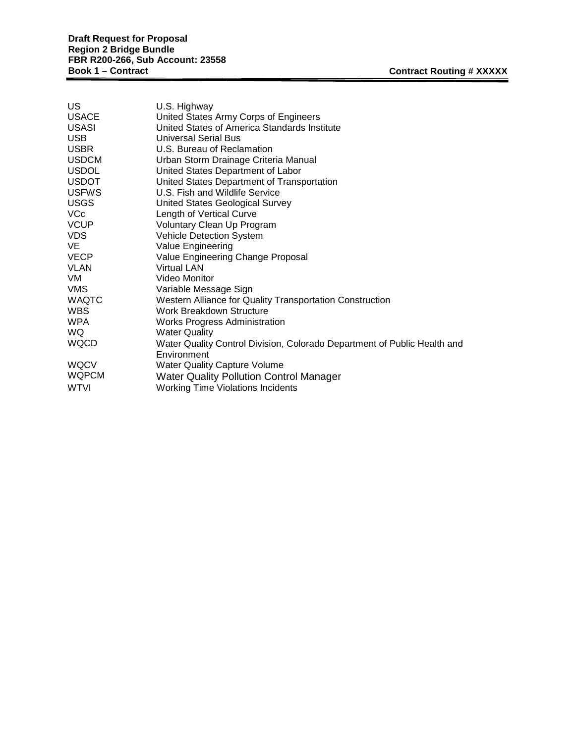| US           | U.S. Highway                                                             |
|--------------|--------------------------------------------------------------------------|
| <b>USACE</b> | United States Army Corps of Engineers                                    |
| USASI        | United States of America Standards Institute                             |
| <b>USB</b>   | Universal Serial Bus                                                     |
| <b>USBR</b>  | U.S. Bureau of Reclamation                                               |
| <b>USDCM</b> | Urban Storm Drainage Criteria Manual                                     |
| <b>USDOL</b> | United States Department of Labor                                        |
| <b>USDOT</b> | United States Department of Transportation                               |
| <b>USFWS</b> | U.S. Fish and Wildlife Service                                           |
| <b>USGS</b>  | United States Geological Survey                                          |
| <b>VCc</b>   | Length of Vertical Curve                                                 |
| <b>VCUP</b>  | Voluntary Clean Up Program                                               |
| <b>VDS</b>   | <b>Vehicle Detection System</b>                                          |
| VE.          | Value Engineering                                                        |
| <b>VECP</b>  | Value Engineering Change Proposal                                        |
| VLAN         | <b>Virtual LAN</b>                                                       |
| VM.          | Video Monitor                                                            |
| <b>VMS</b>   | Variable Message Sign                                                    |
| <b>WAQTC</b> | Western Alliance for Quality Transportation Construction                 |
| <b>WBS</b>   | Work Breakdown Structure                                                 |
| <b>WPA</b>   | <b>Works Progress Administration</b>                                     |
| WQ.          | <b>Water Quality</b>                                                     |
| <b>WQCD</b>  | Water Quality Control Division, Colorado Department of Public Health and |
|              | Environment                                                              |
| <b>WQCV</b>  | <b>Water Quality Capture Volume</b>                                      |
| <b>WQPCM</b> | <b>Water Quality Pollution Control Manager</b>                           |
| <b>WTVI</b>  | <b>Working Time Violations Incidents</b>                                 |
|              |                                                                          |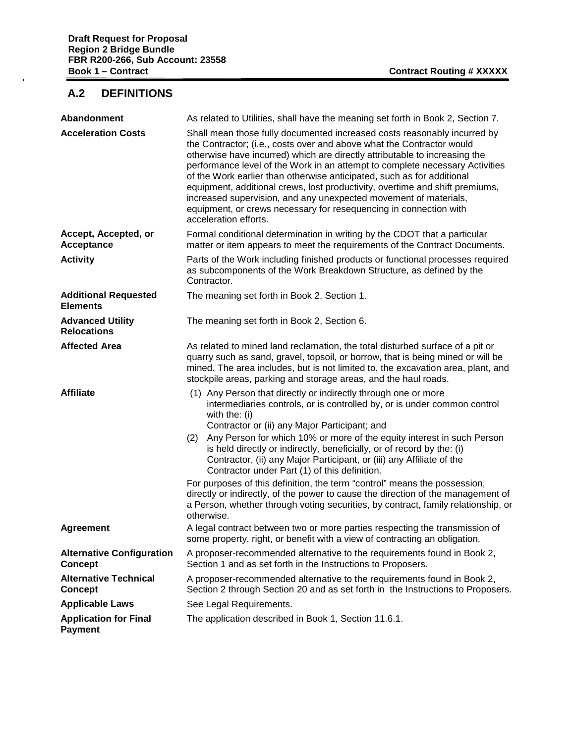### **A.2 DEFINITIONS**

 $\hat{\mathbf{r}}$ 

| Abandonment                                        | As related to Utilities, shall have the meaning set forth in Book 2, Section 7.                                                                                                                                                                                                                                                                                                                                                                                                                                                                                                                                                             |
|----------------------------------------------------|---------------------------------------------------------------------------------------------------------------------------------------------------------------------------------------------------------------------------------------------------------------------------------------------------------------------------------------------------------------------------------------------------------------------------------------------------------------------------------------------------------------------------------------------------------------------------------------------------------------------------------------------|
| <b>Acceleration Costs</b>                          | Shall mean those fully documented increased costs reasonably incurred by<br>the Contractor; (i.e., costs over and above what the Contractor would<br>otherwise have incurred) which are directly attributable to increasing the<br>performance level of the Work in an attempt to complete necessary Activities<br>of the Work earlier than otherwise anticipated, such as for additional<br>equipment, additional crews, lost productivity, overtime and shift premiums,<br>increased supervision, and any unexpected movement of materials,<br>equipment, or crews necessary for resequencing in connection with<br>acceleration efforts. |
| Accept, Accepted, or<br>Acceptance                 | Formal conditional determination in writing by the CDOT that a particular<br>matter or item appears to meet the requirements of the Contract Documents.                                                                                                                                                                                                                                                                                                                                                                                                                                                                                     |
| <b>Activity</b>                                    | Parts of the Work including finished products or functional processes required<br>as subcomponents of the Work Breakdown Structure, as defined by the<br>Contractor.                                                                                                                                                                                                                                                                                                                                                                                                                                                                        |
| <b>Additional Requested</b><br><b>Elements</b>     | The meaning set forth in Book 2, Section 1.                                                                                                                                                                                                                                                                                                                                                                                                                                                                                                                                                                                                 |
| <b>Advanced Utility</b><br><b>Relocations</b>      | The meaning set forth in Book 2, Section 6.                                                                                                                                                                                                                                                                                                                                                                                                                                                                                                                                                                                                 |
| <b>Affected Area</b>                               | As related to mined land reclamation, the total disturbed surface of a pit or<br>quarry such as sand, gravel, topsoil, or borrow, that is being mined or will be<br>mined. The area includes, but is not limited to, the excavation area, plant, and<br>stockpile areas, parking and storage areas, and the haul roads.                                                                                                                                                                                                                                                                                                                     |
| <b>Affiliate</b>                                   | (1) Any Person that directly or indirectly through one or more<br>intermediaries controls, or is controlled by, or is under common control<br>with the: (i)<br>Contractor or (ii) any Major Participant; and                                                                                                                                                                                                                                                                                                                                                                                                                                |
|                                                    | Any Person for which 10% or more of the equity interest in such Person<br>(2)<br>is held directly or indirectly, beneficially, or of record by the: (i)<br>Contractor, (ii) any Major Participant, or (iii) any Affiliate of the<br>Contractor under Part (1) of this definition.                                                                                                                                                                                                                                                                                                                                                           |
|                                                    | For purposes of this definition, the term "control" means the possession,<br>directly or indirectly, of the power to cause the direction of the management of<br>a Person, whether through voting securities, by contract, family relationship, or<br>otherwise.                                                                                                                                                                                                                                                                                                                                                                            |
| <b>Agreement</b>                                   | A legal contract between two or more parties respecting the transmission of<br>some property, right, or benefit with a view of contracting an obligation.                                                                                                                                                                                                                                                                                                                                                                                                                                                                                   |
| <b>Alternative Configuration</b><br><b>Concept</b> | A proposer-recommended alternative to the requirements found in Book 2,<br>Section 1 and as set forth in the Instructions to Proposers.                                                                                                                                                                                                                                                                                                                                                                                                                                                                                                     |
| <b>Alternative Technical</b><br><b>Concept</b>     | A proposer-recommended alternative to the requirements found in Book 2,<br>Section 2 through Section 20 and as set forth in the Instructions to Proposers.                                                                                                                                                                                                                                                                                                                                                                                                                                                                                  |
| <b>Applicable Laws</b>                             | See Legal Requirements.                                                                                                                                                                                                                                                                                                                                                                                                                                                                                                                                                                                                                     |
| <b>Application for Final</b><br><b>Payment</b>     | The application described in Book 1, Section 11.6.1.                                                                                                                                                                                                                                                                                                                                                                                                                                                                                                                                                                                        |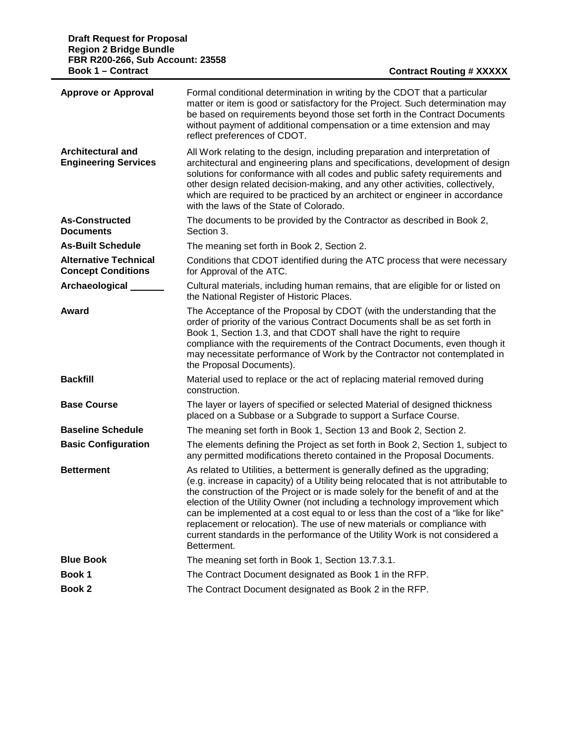| <b>Approve or Approval</b>                                | Formal conditional determination in writing by the CDOT that a particular<br>matter or item is good or satisfactory for the Project. Such determination may<br>be based on requirements beyond those set forth in the Contract Documents<br>without payment of additional compensation or a time extension and may<br>reflect preferences of CDOT.                                                                                                                                                                                                                                                   |
|-----------------------------------------------------------|------------------------------------------------------------------------------------------------------------------------------------------------------------------------------------------------------------------------------------------------------------------------------------------------------------------------------------------------------------------------------------------------------------------------------------------------------------------------------------------------------------------------------------------------------------------------------------------------------|
| <b>Architectural and</b><br><b>Engineering Services</b>   | All Work relating to the design, including preparation and interpretation of<br>architectural and engineering plans and specifications, development of design<br>solutions for conformance with all codes and public safety requirements and<br>other design related decision-making, and any other activities, collectively,<br>which are required to be practiced by an architect or engineer in accordance<br>with the laws of the State of Colorado.                                                                                                                                             |
| <b>As-Constructed</b><br><b>Documents</b>                 | The documents to be provided by the Contractor as described in Book 2,<br>Section 3.                                                                                                                                                                                                                                                                                                                                                                                                                                                                                                                 |
| <b>As-Built Schedule</b>                                  | The meaning set forth in Book 2, Section 2.                                                                                                                                                                                                                                                                                                                                                                                                                                                                                                                                                          |
| <b>Alternative Technical</b><br><b>Concept Conditions</b> | Conditions that CDOT identified during the ATC process that were necessary<br>for Approval of the ATC.                                                                                                                                                                                                                                                                                                                                                                                                                                                                                               |
| Archaeological                                            | Cultural materials, including human remains, that are eligible for or listed on<br>the National Register of Historic Places.                                                                                                                                                                                                                                                                                                                                                                                                                                                                         |
| Award                                                     | The Acceptance of the Proposal by CDOT (with the understanding that the<br>order of priority of the various Contract Documents shall be as set forth in<br>Book 1, Section 1.3, and that CDOT shall have the right to require<br>compliance with the requirements of the Contract Documents, even though it<br>may necessitate performance of Work by the Contractor not contemplated in<br>the Proposal Documents).                                                                                                                                                                                 |
| <b>Backfill</b>                                           | Material used to replace or the act of replacing material removed during<br>construction.                                                                                                                                                                                                                                                                                                                                                                                                                                                                                                            |
| <b>Base Course</b>                                        | The layer or layers of specified or selected Material of designed thickness<br>placed on a Subbase or a Subgrade to support a Surface Course.                                                                                                                                                                                                                                                                                                                                                                                                                                                        |
| <b>Baseline Schedule</b>                                  | The meaning set forth in Book 1, Section 13 and Book 2, Section 2.                                                                                                                                                                                                                                                                                                                                                                                                                                                                                                                                   |
| <b>Basic Configuration</b>                                | The elements defining the Project as set forth in Book 2, Section 1, subject to<br>any permitted modifications thereto contained in the Proposal Documents.                                                                                                                                                                                                                                                                                                                                                                                                                                          |
| <b>Betterment</b>                                         | As related to Utilities, a betterment is generally defined as the upgrading;<br>(e.g. increase in capacity) of a Utility being relocated that is not attributable to<br>the construction of the Project or is made solely for the benefit of and at the<br>election of the Utility Owner (not including a technology improvement which<br>can be implemented at a cost equal to or less than the cost of a "like for like"<br>replacement or relocation). The use of new materials or compliance with<br>current standards in the performance of the Utility Work is not considered a<br>Betterment. |
| <b>Blue Book</b>                                          | The meaning set forth in Book 1, Section 13.7.3.1.                                                                                                                                                                                                                                                                                                                                                                                                                                                                                                                                                   |
| Book 1                                                    | The Contract Document designated as Book 1 in the RFP.                                                                                                                                                                                                                                                                                                                                                                                                                                                                                                                                               |
| Book 2                                                    | The Contract Document designated as Book 2 in the RFP.                                                                                                                                                                                                                                                                                                                                                                                                                                                                                                                                               |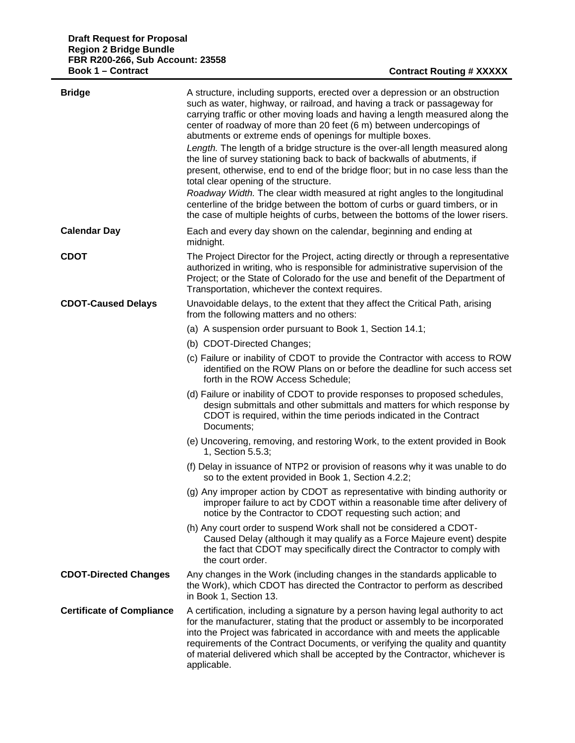| <b>Bridge</b>                    | A structure, including supports, erected over a depression or an obstruction<br>such as water, highway, or railroad, and having a track or passageway for<br>carrying traffic or other moving loads and having a length measured along the<br>center of roadway of more than 20 feet (6 m) between undercopings of<br>abutments or extreme ends of openings for multiple boxes.<br>Length. The length of a bridge structure is the over-all length measured along<br>the line of survey stationing back to back of backwalls of abutments, if<br>present, otherwise, end to end of the bridge floor; but in no case less than the<br>total clear opening of the structure.<br>Roadway Width. The clear width measured at right angles to the longitudinal<br>centerline of the bridge between the bottom of curbs or guard timbers, or in<br>the case of multiple heights of curbs, between the bottoms of the lower risers. |
|----------------------------------|------------------------------------------------------------------------------------------------------------------------------------------------------------------------------------------------------------------------------------------------------------------------------------------------------------------------------------------------------------------------------------------------------------------------------------------------------------------------------------------------------------------------------------------------------------------------------------------------------------------------------------------------------------------------------------------------------------------------------------------------------------------------------------------------------------------------------------------------------------------------------------------------------------------------------|
| <b>Calendar Day</b>              | Each and every day shown on the calendar, beginning and ending at<br>midnight.                                                                                                                                                                                                                                                                                                                                                                                                                                                                                                                                                                                                                                                                                                                                                                                                                                               |
| <b>CDOT</b>                      | The Project Director for the Project, acting directly or through a representative<br>authorized in writing, who is responsible for administrative supervision of the<br>Project; or the State of Colorado for the use and benefit of the Department of<br>Transportation, whichever the context requires.                                                                                                                                                                                                                                                                                                                                                                                                                                                                                                                                                                                                                    |
| <b>CDOT-Caused Delays</b>        | Unavoidable delays, to the extent that they affect the Critical Path, arising<br>from the following matters and no others:                                                                                                                                                                                                                                                                                                                                                                                                                                                                                                                                                                                                                                                                                                                                                                                                   |
|                                  | (a) A suspension order pursuant to Book 1, Section 14.1;                                                                                                                                                                                                                                                                                                                                                                                                                                                                                                                                                                                                                                                                                                                                                                                                                                                                     |
|                                  | (b) CDOT-Directed Changes;                                                                                                                                                                                                                                                                                                                                                                                                                                                                                                                                                                                                                                                                                                                                                                                                                                                                                                   |
|                                  | (c) Failure or inability of CDOT to provide the Contractor with access to ROW<br>identified on the ROW Plans on or before the deadline for such access set<br>forth in the ROW Access Schedule;                                                                                                                                                                                                                                                                                                                                                                                                                                                                                                                                                                                                                                                                                                                              |
|                                  | (d) Failure or inability of CDOT to provide responses to proposed schedules,<br>design submittals and other submittals and matters for which response by<br>CDOT is required, within the time periods indicated in the Contract<br>Documents;                                                                                                                                                                                                                                                                                                                                                                                                                                                                                                                                                                                                                                                                                |
|                                  | (e) Uncovering, removing, and restoring Work, to the extent provided in Book<br>1, Section 5.5.3;                                                                                                                                                                                                                                                                                                                                                                                                                                                                                                                                                                                                                                                                                                                                                                                                                            |
|                                  | (f) Delay in issuance of NTP2 or provision of reasons why it was unable to do<br>so to the extent provided in Book 1, Section 4.2.2;                                                                                                                                                                                                                                                                                                                                                                                                                                                                                                                                                                                                                                                                                                                                                                                         |
|                                  | (g) Any improper action by CDOT as representative with binding authority or<br>improper failure to act by CDOT within a reasonable time after delivery of<br>notice by the Contractor to CDOT requesting such action; and                                                                                                                                                                                                                                                                                                                                                                                                                                                                                                                                                                                                                                                                                                    |
|                                  | (h) Any court order to suspend Work shall not be considered a CDOT-<br>Caused Delay (although it may qualify as a Force Majeure event) despite<br>the fact that CDOT may specifically direct the Contractor to comply with<br>the court order.                                                                                                                                                                                                                                                                                                                                                                                                                                                                                                                                                                                                                                                                               |
| <b>CDOT-Directed Changes</b>     | Any changes in the Work (including changes in the standards applicable to<br>the Work), which CDOT has directed the Contractor to perform as described<br>in Book 1, Section 13.                                                                                                                                                                                                                                                                                                                                                                                                                                                                                                                                                                                                                                                                                                                                             |
| <b>Certificate of Compliance</b> | A certification, including a signature by a person having legal authority to act<br>for the manufacturer, stating that the product or assembly to be incorporated<br>into the Project was fabricated in accordance with and meets the applicable<br>requirements of the Contract Documents, or verifying the quality and quantity<br>of material delivered which shall be accepted by the Contractor, whichever is<br>applicable.                                                                                                                                                                                                                                                                                                                                                                                                                                                                                            |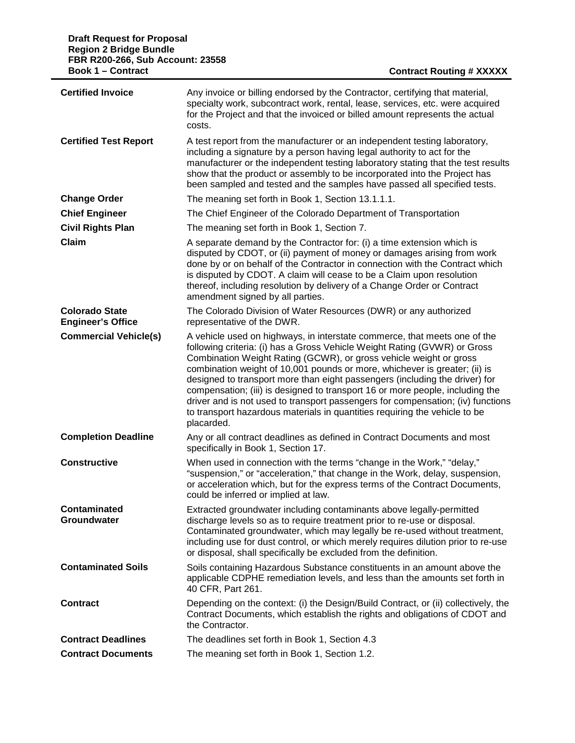| <b>Certified Invoice</b>                          | Any invoice or billing endorsed by the Contractor, certifying that material,<br>specialty work, subcontract work, rental, lease, services, etc. were acquired<br>for the Project and that the invoiced or billed amount represents the actual<br>costs.                                                                                                                                                                                                                                                                                                                                                                                                   |
|---------------------------------------------------|-----------------------------------------------------------------------------------------------------------------------------------------------------------------------------------------------------------------------------------------------------------------------------------------------------------------------------------------------------------------------------------------------------------------------------------------------------------------------------------------------------------------------------------------------------------------------------------------------------------------------------------------------------------|
| <b>Certified Test Report</b>                      | A test report from the manufacturer or an independent testing laboratory,<br>including a signature by a person having legal authority to act for the<br>manufacturer or the independent testing laboratory stating that the test results<br>show that the product or assembly to be incorporated into the Project has<br>been sampled and tested and the samples have passed all specified tests.                                                                                                                                                                                                                                                         |
| <b>Change Order</b>                               | The meaning set forth in Book 1, Section 13.1.1.1.                                                                                                                                                                                                                                                                                                                                                                                                                                                                                                                                                                                                        |
| <b>Chief Engineer</b>                             | The Chief Engineer of the Colorado Department of Transportation                                                                                                                                                                                                                                                                                                                                                                                                                                                                                                                                                                                           |
| <b>Civil Rights Plan</b>                          | The meaning set forth in Book 1, Section 7.                                                                                                                                                                                                                                                                                                                                                                                                                                                                                                                                                                                                               |
| Claim                                             | A separate demand by the Contractor for: (i) a time extension which is<br>disputed by CDOT, or (ii) payment of money or damages arising from work<br>done by or on behalf of the Contractor in connection with the Contract which<br>is disputed by CDOT. A claim will cease to be a Claim upon resolution<br>thereof, including resolution by delivery of a Change Order or Contract<br>amendment signed by all parties.                                                                                                                                                                                                                                 |
| <b>Colorado State</b><br><b>Engineer's Office</b> | The Colorado Division of Water Resources (DWR) or any authorized<br>representative of the DWR.                                                                                                                                                                                                                                                                                                                                                                                                                                                                                                                                                            |
| <b>Commercial Vehicle(s)</b>                      | A vehicle used on highways, in interstate commerce, that meets one of the<br>following criteria: (i) has a Gross Vehicle Weight Rating (GVWR) or Gross<br>Combination Weight Rating (GCWR), or gross vehicle weight or gross<br>combination weight of 10,001 pounds or more, whichever is greater; (ii) is<br>designed to transport more than eight passengers (including the driver) for<br>compensation; (iii) is designed to transport 16 or more people, including the<br>driver and is not used to transport passengers for compensation; (iv) functions<br>to transport hazardous materials in quantities requiring the vehicle to be<br>placarded. |
| <b>Completion Deadline</b>                        | Any or all contract deadlines as defined in Contract Documents and most<br>specifically in Book 1, Section 17.                                                                                                                                                                                                                                                                                                                                                                                                                                                                                                                                            |
| <b>Constructive</b>                               | When used in connection with the terms "change in the Work," "delay,"<br>"suspension," or "acceleration," that change in the Work, delay, suspension,<br>or acceleration which, but for the express terms of the Contract Documents,<br>could be inferred or implied at law.                                                                                                                                                                                                                                                                                                                                                                              |
| <b>Contaminated</b><br>Groundwater                | Extracted groundwater including contaminants above legally-permitted<br>discharge levels so as to require treatment prior to re-use or disposal.<br>Contaminated groundwater, which may legally be re-used without treatment,<br>including use for dust control, or which merely requires dilution prior to re-use<br>or disposal, shall specifically be excluded from the definition.                                                                                                                                                                                                                                                                    |
| <b>Contaminated Soils</b>                         | Soils containing Hazardous Substance constituents in an amount above the<br>applicable CDPHE remediation levels, and less than the amounts set forth in<br>40 CFR, Part 261.                                                                                                                                                                                                                                                                                                                                                                                                                                                                              |
| <b>Contract</b>                                   | Depending on the context: (i) the Design/Build Contract, or (ii) collectively, the<br>Contract Documents, which establish the rights and obligations of CDOT and<br>the Contractor.                                                                                                                                                                                                                                                                                                                                                                                                                                                                       |
| <b>Contract Deadlines</b>                         | The deadlines set forth in Book 1, Section 4.3                                                                                                                                                                                                                                                                                                                                                                                                                                                                                                                                                                                                            |
| <b>Contract Documents</b>                         | The meaning set forth in Book 1, Section 1.2.                                                                                                                                                                                                                                                                                                                                                                                                                                                                                                                                                                                                             |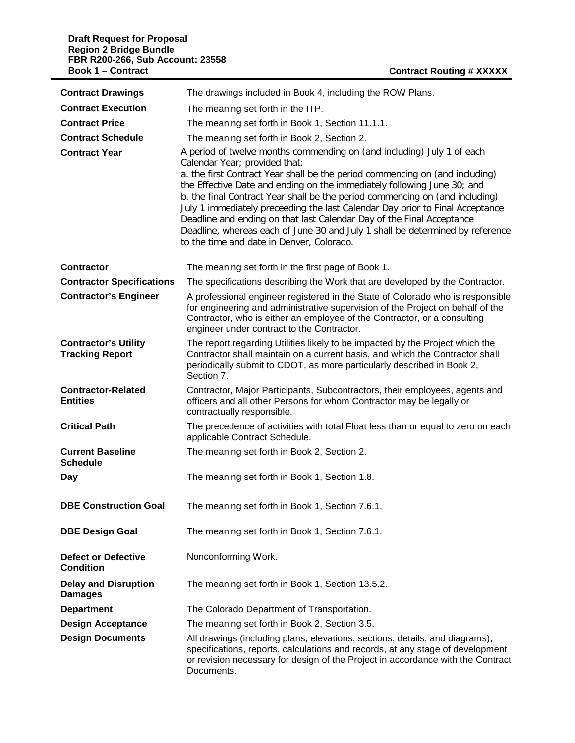| <b>Contract Drawings</b>                              | The drawings included in Book 4, including the ROW Plans.                                                                                                                                                                                                                                                                                                                                                                                                                                                                                                                                                                                  |
|-------------------------------------------------------|--------------------------------------------------------------------------------------------------------------------------------------------------------------------------------------------------------------------------------------------------------------------------------------------------------------------------------------------------------------------------------------------------------------------------------------------------------------------------------------------------------------------------------------------------------------------------------------------------------------------------------------------|
| <b>Contract Execution</b>                             | The meaning set forth in the ITP.                                                                                                                                                                                                                                                                                                                                                                                                                                                                                                                                                                                                          |
| <b>Contract Price</b>                                 | The meaning set forth in Book 1, Section 11.1.1.                                                                                                                                                                                                                                                                                                                                                                                                                                                                                                                                                                                           |
| <b>Contract Schedule</b>                              | The meaning set forth in Book 2, Section 2.                                                                                                                                                                                                                                                                                                                                                                                                                                                                                                                                                                                                |
| <b>Contract Year</b>                                  | A period of twelve months commending on (and including) July 1 of each<br>Calendar Year; provided that:<br>a. the first Contract Year shall be the period commencing on (and including)<br>the Effective Date and ending on the immediately following June 30; and<br>b. the final Contract Year shall be the period commencing on (and including)<br>July 1 immediately preceeding the last Calendar Day prior to Final Acceptance<br>Deadline and ending on that last Calendar Day of the Final Acceptance<br>Deadline, whereas each of June 30 and July 1 shall be determined by reference<br>to the time and date in Denver, Colorado. |
| <b>Contractor</b>                                     | The meaning set forth in the first page of Book 1.                                                                                                                                                                                                                                                                                                                                                                                                                                                                                                                                                                                         |
| <b>Contractor Specifications</b>                      | The specifications describing the Work that are developed by the Contractor.                                                                                                                                                                                                                                                                                                                                                                                                                                                                                                                                                               |
| <b>Contractor's Engineer</b>                          | A professional engineer registered in the State of Colorado who is responsible<br>for engineering and administrative supervision of the Project on behalf of the<br>Contractor, who is either an employee of the Contractor, or a consulting<br>engineer under contract to the Contractor.                                                                                                                                                                                                                                                                                                                                                 |
| <b>Contractor's Utility</b><br><b>Tracking Report</b> | The report regarding Utilities likely to be impacted by the Project which the<br>Contractor shall maintain on a current basis, and which the Contractor shall<br>periodically submit to CDOT, as more particularly described in Book 2,<br>Section 7.                                                                                                                                                                                                                                                                                                                                                                                      |
| <b>Contractor-Related</b><br><b>Entities</b>          | Contractor, Major Participants, Subcontractors, their employees, agents and<br>officers and all other Persons for whom Contractor may be legally or<br>contractually responsible.                                                                                                                                                                                                                                                                                                                                                                                                                                                          |
| <b>Critical Path</b>                                  | The precedence of activities with total Float less than or equal to zero on each<br>applicable Contract Schedule.                                                                                                                                                                                                                                                                                                                                                                                                                                                                                                                          |
| <b>Current Baseline</b><br><b>Schedule</b>            | The meaning set forth in Book 2, Section 2.                                                                                                                                                                                                                                                                                                                                                                                                                                                                                                                                                                                                |
| Day                                                   | The meaning set forth in Book 1, Section 1.8.                                                                                                                                                                                                                                                                                                                                                                                                                                                                                                                                                                                              |
| <b>DBE Construction Goal</b>                          | The meaning set forth in Book 1, Section 7.6.1.                                                                                                                                                                                                                                                                                                                                                                                                                                                                                                                                                                                            |
| <b>DBE Design Goal</b>                                | The meaning set forth in Book 1, Section 7.6.1.                                                                                                                                                                                                                                                                                                                                                                                                                                                                                                                                                                                            |
| <b>Defect or Defective</b><br><b>Condition</b>        | Nonconforming Work.                                                                                                                                                                                                                                                                                                                                                                                                                                                                                                                                                                                                                        |
| <b>Delay and Disruption</b><br><b>Damages</b>         | The meaning set forth in Book 1, Section 13.5.2.                                                                                                                                                                                                                                                                                                                                                                                                                                                                                                                                                                                           |
| <b>Department</b>                                     | The Colorado Department of Transportation.                                                                                                                                                                                                                                                                                                                                                                                                                                                                                                                                                                                                 |
| <b>Design Acceptance</b>                              | The meaning set forth in Book 2, Section 3.5.                                                                                                                                                                                                                                                                                                                                                                                                                                                                                                                                                                                              |
| <b>Design Documents</b>                               | All drawings (including plans, elevations, sections, details, and diagrams),<br>specifications, reports, calculations and records, at any stage of development<br>or revision necessary for design of the Project in accordance with the Contract<br>Documents.                                                                                                                                                                                                                                                                                                                                                                            |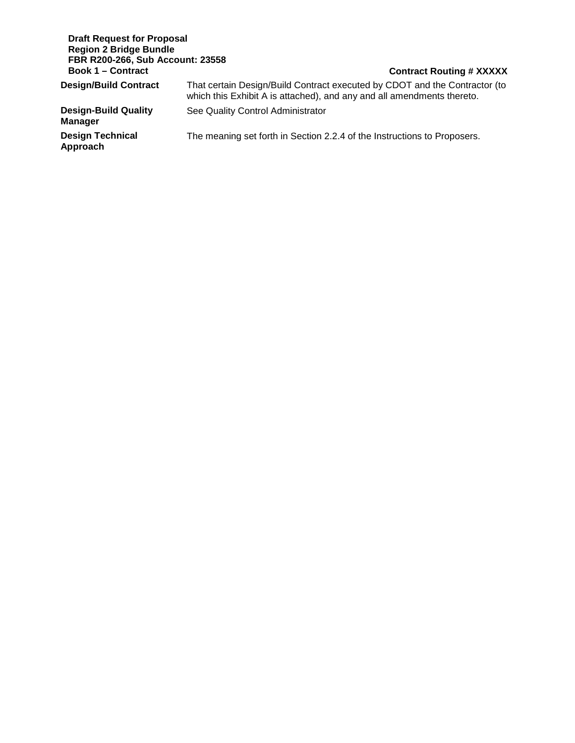| <b>Draft Request for Proposal</b><br><b>Region 2 Bridge Bundle</b><br>FBR R200-266, Sub Account: 23558<br><b>Book 1 – Contract</b> | <b>Contract Routing # XXXXX</b>                                                                                                                      |
|------------------------------------------------------------------------------------------------------------------------------------|------------------------------------------------------------------------------------------------------------------------------------------------------|
| <b>Design/Build Contract</b>                                                                                                       | That certain Design/Build Contract executed by CDOT and the Contractor (to<br>which this Exhibit A is attached), and any and all amendments thereto. |
| <b>Design-Build Quality</b><br><b>Manager</b>                                                                                      | See Quality Control Administrator                                                                                                                    |
| <b>Design Technical</b><br>Approach                                                                                                | The meaning set forth in Section 2.2.4 of the Instructions to Proposers.                                                                             |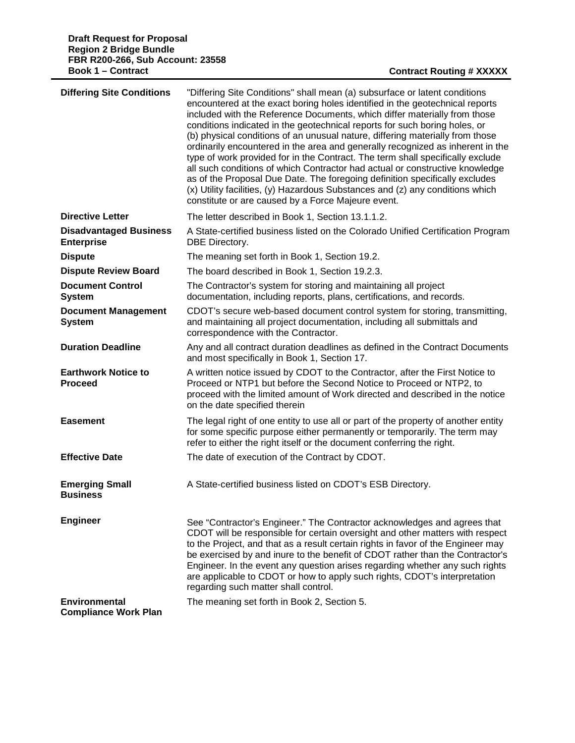| <b>Differing Site Conditions</b>                   | "Differing Site Conditions" shall mean (a) subsurface or latent conditions<br>encountered at the exact boring holes identified in the geotechnical reports<br>included with the Reference Documents, which differ materially from those<br>conditions indicated in the geotechnical reports for such boring holes, or<br>(b) physical conditions of an unusual nature, differing materially from those<br>ordinarily encountered in the area and generally recognized as inherent in the<br>type of work provided for in the Contract. The term shall specifically exclude<br>all such conditions of which Contractor had actual or constructive knowledge<br>as of the Proposal Due Date. The foregoing definition specifically excludes<br>(x) Utility facilities, (y) Hazardous Substances and (z) any conditions which<br>constitute or are caused by a Force Majeure event. |
|----------------------------------------------------|----------------------------------------------------------------------------------------------------------------------------------------------------------------------------------------------------------------------------------------------------------------------------------------------------------------------------------------------------------------------------------------------------------------------------------------------------------------------------------------------------------------------------------------------------------------------------------------------------------------------------------------------------------------------------------------------------------------------------------------------------------------------------------------------------------------------------------------------------------------------------------|
| <b>Directive Letter</b>                            | The letter described in Book 1, Section 13.1.1.2.                                                                                                                                                                                                                                                                                                                                                                                                                                                                                                                                                                                                                                                                                                                                                                                                                                |
| <b>Disadvantaged Business</b><br><b>Enterprise</b> | A State-certified business listed on the Colorado Unified Certification Program<br>DBE Directory.                                                                                                                                                                                                                                                                                                                                                                                                                                                                                                                                                                                                                                                                                                                                                                                |
| <b>Dispute</b>                                     | The meaning set forth in Book 1, Section 19.2.                                                                                                                                                                                                                                                                                                                                                                                                                                                                                                                                                                                                                                                                                                                                                                                                                                   |
| <b>Dispute Review Board</b>                        | The board described in Book 1, Section 19.2.3.                                                                                                                                                                                                                                                                                                                                                                                                                                                                                                                                                                                                                                                                                                                                                                                                                                   |
| <b>Document Control</b><br><b>System</b>           | The Contractor's system for storing and maintaining all project<br>documentation, including reports, plans, certifications, and records.                                                                                                                                                                                                                                                                                                                                                                                                                                                                                                                                                                                                                                                                                                                                         |
| <b>Document Management</b><br><b>System</b>        | CDOT's secure web-based document control system for storing, transmitting,<br>and maintaining all project documentation, including all submittals and<br>correspondence with the Contractor.                                                                                                                                                                                                                                                                                                                                                                                                                                                                                                                                                                                                                                                                                     |
| <b>Duration Deadline</b>                           | Any and all contract duration deadlines as defined in the Contract Documents<br>and most specifically in Book 1, Section 17.                                                                                                                                                                                                                                                                                                                                                                                                                                                                                                                                                                                                                                                                                                                                                     |
| <b>Earthwork Notice to</b><br><b>Proceed</b>       | A written notice issued by CDOT to the Contractor, after the First Notice to<br>Proceed or NTP1 but before the Second Notice to Proceed or NTP2, to<br>proceed with the limited amount of Work directed and described in the notice<br>on the date specified therein                                                                                                                                                                                                                                                                                                                                                                                                                                                                                                                                                                                                             |
| <b>Easement</b>                                    | The legal right of one entity to use all or part of the property of another entity<br>for some specific purpose either permanently or temporarily. The term may<br>refer to either the right itself or the document conferring the right.                                                                                                                                                                                                                                                                                                                                                                                                                                                                                                                                                                                                                                        |
| <b>Effective Date</b>                              | The date of execution of the Contract by CDOT.                                                                                                                                                                                                                                                                                                                                                                                                                                                                                                                                                                                                                                                                                                                                                                                                                                   |
| <b>Emerging Small</b><br><b>Business</b>           | A State-certified business listed on CDOT's ESB Directory.                                                                                                                                                                                                                                                                                                                                                                                                                                                                                                                                                                                                                                                                                                                                                                                                                       |
| <b>Engineer</b>                                    | See "Contractor's Engineer." The Contractor acknowledges and agrees that<br>CDOT will be responsible for certain oversight and other matters with respect<br>to the Project, and that as a result certain rights in favor of the Engineer may<br>be exercised by and inure to the benefit of CDOT rather than the Contractor's<br>Engineer. In the event any question arises regarding whether any such rights<br>are applicable to CDOT or how to apply such rights, CDOT's interpretation<br>regarding such matter shall control.                                                                                                                                                                                                                                                                                                                                              |
| Environmental<br><b>Compliance Work Plan</b>       | The meaning set forth in Book 2, Section 5.                                                                                                                                                                                                                                                                                                                                                                                                                                                                                                                                                                                                                                                                                                                                                                                                                                      |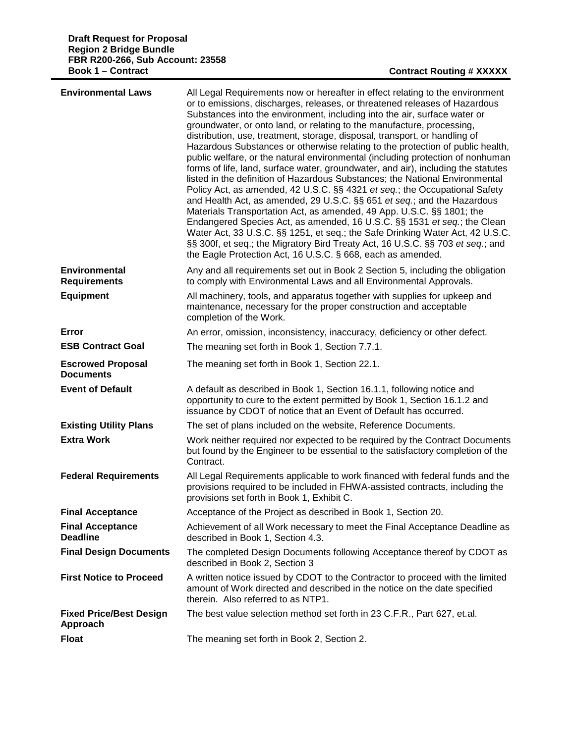| <b>Environmental Laws</b>                    | All Legal Requirements now or hereafter in effect relating to the environment<br>or to emissions, discharges, releases, or threatened releases of Hazardous<br>Substances into the environment, including into the air, surface water or<br>groundwater, or onto land, or relating to the manufacture, processing,<br>distribution, use, treatment, storage, disposal, transport, or handling of<br>Hazardous Substances or otherwise relating to the protection of public health,<br>public welfare, or the natural environmental (including protection of nonhuman<br>forms of life, land, surface water, groundwater, and air), including the statutes<br>listed in the definition of Hazardous Substances; the National Environmental<br>Policy Act, as amended, 42 U.S.C. §§ 4321 et seq.; the Occupational Safety<br>and Health Act, as amended, 29 U.S.C. §§ 651 et seq.; and the Hazardous<br>Materials Transportation Act, as amended, 49 App. U.S.C. §§ 1801; the<br>Endangered Species Act, as amended, 16 U.S.C. §§ 1531 et seq.; the Clean<br>Water Act, 33 U.S.C. §§ 1251, et seq.; the Safe Drinking Water Act, 42 U.S.C.<br>§§ 300f, et seq.; the Migratory Bird Treaty Act, 16 U.S.C. §§ 703 et seq.; and<br>the Eagle Protection Act, 16 U.S.C. § 668, each as amended. |
|----------------------------------------------|-------------------------------------------------------------------------------------------------------------------------------------------------------------------------------------------------------------------------------------------------------------------------------------------------------------------------------------------------------------------------------------------------------------------------------------------------------------------------------------------------------------------------------------------------------------------------------------------------------------------------------------------------------------------------------------------------------------------------------------------------------------------------------------------------------------------------------------------------------------------------------------------------------------------------------------------------------------------------------------------------------------------------------------------------------------------------------------------------------------------------------------------------------------------------------------------------------------------------------------------------------------------------------------------|
| <b>Environmental</b><br><b>Requirements</b>  | Any and all requirements set out in Book 2 Section 5, including the obligation<br>to comply with Environmental Laws and all Environmental Approvals.                                                                                                                                                                                                                                                                                                                                                                                                                                                                                                                                                                                                                                                                                                                                                                                                                                                                                                                                                                                                                                                                                                                                      |
| <b>Equipment</b>                             | All machinery, tools, and apparatus together with supplies for upkeep and<br>maintenance, necessary for the proper construction and acceptable<br>completion of the Work.                                                                                                                                                                                                                                                                                                                                                                                                                                                                                                                                                                                                                                                                                                                                                                                                                                                                                                                                                                                                                                                                                                                 |
| Error                                        | An error, omission, inconsistency, inaccuracy, deficiency or other defect.                                                                                                                                                                                                                                                                                                                                                                                                                                                                                                                                                                                                                                                                                                                                                                                                                                                                                                                                                                                                                                                                                                                                                                                                                |
| <b>ESB Contract Goal</b>                     | The meaning set forth in Book 1, Section 7.7.1.                                                                                                                                                                                                                                                                                                                                                                                                                                                                                                                                                                                                                                                                                                                                                                                                                                                                                                                                                                                                                                                                                                                                                                                                                                           |
| <b>Escrowed Proposal</b><br><b>Documents</b> | The meaning set forth in Book 1, Section 22.1.                                                                                                                                                                                                                                                                                                                                                                                                                                                                                                                                                                                                                                                                                                                                                                                                                                                                                                                                                                                                                                                                                                                                                                                                                                            |
| <b>Event of Default</b>                      | A default as described in Book 1, Section 16.1.1, following notice and<br>opportunity to cure to the extent permitted by Book 1, Section 16.1.2 and<br>issuance by CDOT of notice that an Event of Default has occurred.                                                                                                                                                                                                                                                                                                                                                                                                                                                                                                                                                                                                                                                                                                                                                                                                                                                                                                                                                                                                                                                                  |
| <b>Existing Utility Plans</b>                | The set of plans included on the website, Reference Documents.                                                                                                                                                                                                                                                                                                                                                                                                                                                                                                                                                                                                                                                                                                                                                                                                                                                                                                                                                                                                                                                                                                                                                                                                                            |
| <b>Extra Work</b>                            | Work neither required nor expected to be required by the Contract Documents<br>but found by the Engineer to be essential to the satisfactory completion of the<br>Contract.                                                                                                                                                                                                                                                                                                                                                                                                                                                                                                                                                                                                                                                                                                                                                                                                                                                                                                                                                                                                                                                                                                               |
| <b>Federal Requirements</b>                  | All Legal Requirements applicable to work financed with federal funds and the<br>provisions required to be included in FHWA-assisted contracts, including the<br>provisions set forth in Book 1, Exhibit C.                                                                                                                                                                                                                                                                                                                                                                                                                                                                                                                                                                                                                                                                                                                                                                                                                                                                                                                                                                                                                                                                               |
| <b>Final Acceptance</b>                      | Acceptance of the Project as described in Book 1, Section 20.                                                                                                                                                                                                                                                                                                                                                                                                                                                                                                                                                                                                                                                                                                                                                                                                                                                                                                                                                                                                                                                                                                                                                                                                                             |
| <b>Final Acceptance</b><br><b>Deadline</b>   | Achievement of all Work necessary to meet the Final Acceptance Deadline as<br>described in Book 1, Section 4.3.                                                                                                                                                                                                                                                                                                                                                                                                                                                                                                                                                                                                                                                                                                                                                                                                                                                                                                                                                                                                                                                                                                                                                                           |
| <b>Final Design Documents</b>                | The completed Design Documents following Acceptance thereof by CDOT as<br>described in Book 2, Section 3                                                                                                                                                                                                                                                                                                                                                                                                                                                                                                                                                                                                                                                                                                                                                                                                                                                                                                                                                                                                                                                                                                                                                                                  |
| <b>First Notice to Proceed</b>               | A written notice issued by CDOT to the Contractor to proceed with the limited<br>amount of Work directed and described in the notice on the date specified<br>therein. Also referred to as NTP1.                                                                                                                                                                                                                                                                                                                                                                                                                                                                                                                                                                                                                                                                                                                                                                                                                                                                                                                                                                                                                                                                                          |
| <b>Fixed Price/Best Design</b><br>Approach   | The best value selection method set forth in 23 C.F.R., Part 627, et.al.                                                                                                                                                                                                                                                                                                                                                                                                                                                                                                                                                                                                                                                                                                                                                                                                                                                                                                                                                                                                                                                                                                                                                                                                                  |
| <b>Float</b>                                 | The meaning set forth in Book 2, Section 2.                                                                                                                                                                                                                                                                                                                                                                                                                                                                                                                                                                                                                                                                                                                                                                                                                                                                                                                                                                                                                                                                                                                                                                                                                                               |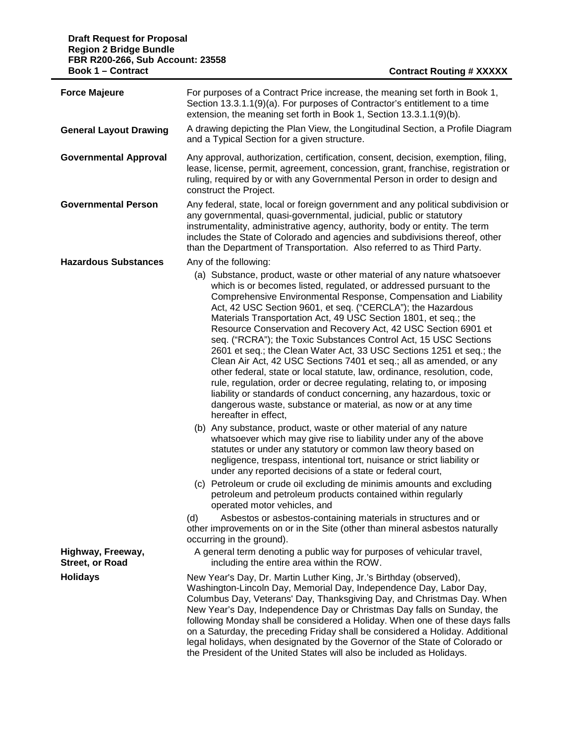| <b>Book 1 – Contract</b>             | <b>Contract Routing # XXXXX</b>                                                                                                                                                                                                                                                                                                                                                                                                                                                                                                                                                                                                                                                                                                                                                                                                                                                                                                                                    |
|--------------------------------------|--------------------------------------------------------------------------------------------------------------------------------------------------------------------------------------------------------------------------------------------------------------------------------------------------------------------------------------------------------------------------------------------------------------------------------------------------------------------------------------------------------------------------------------------------------------------------------------------------------------------------------------------------------------------------------------------------------------------------------------------------------------------------------------------------------------------------------------------------------------------------------------------------------------------------------------------------------------------|
| <b>Force Majeure</b>                 | For purposes of a Contract Price increase, the meaning set forth in Book 1,<br>Section 13.3.1.1(9)(a). For purposes of Contractor's entitlement to a time<br>extension, the meaning set forth in Book 1, Section 13.3.1.1(9)(b).                                                                                                                                                                                                                                                                                                                                                                                                                                                                                                                                                                                                                                                                                                                                   |
| <b>General Layout Drawing</b>        | A drawing depicting the Plan View, the Longitudinal Section, a Profile Diagram<br>and a Typical Section for a given structure.                                                                                                                                                                                                                                                                                                                                                                                                                                                                                                                                                                                                                                                                                                                                                                                                                                     |
| <b>Governmental Approval</b>         | Any approval, authorization, certification, consent, decision, exemption, filing,<br>lease, license, permit, agreement, concession, grant, franchise, registration or<br>ruling, required by or with any Governmental Person in order to design and<br>construct the Project.                                                                                                                                                                                                                                                                                                                                                                                                                                                                                                                                                                                                                                                                                      |
| <b>Governmental Person</b>           | Any federal, state, local or foreign government and any political subdivision or<br>any governmental, quasi-governmental, judicial, public or statutory<br>instrumentality, administrative agency, authority, body or entity. The term<br>includes the State of Colorado and agencies and subdivisions thereof, other<br>than the Department of Transportation. Also referred to as Third Party.                                                                                                                                                                                                                                                                                                                                                                                                                                                                                                                                                                   |
| <b>Hazardous Substances</b>          | Any of the following:                                                                                                                                                                                                                                                                                                                                                                                                                                                                                                                                                                                                                                                                                                                                                                                                                                                                                                                                              |
|                                      | (a) Substance, product, waste or other material of any nature whatsoever<br>which is or becomes listed, regulated, or addressed pursuant to the<br>Comprehensive Environmental Response, Compensation and Liability<br>Act, 42 USC Section 9601, et seq. ("CERCLA"); the Hazardous<br>Materials Transportation Act, 49 USC Section 1801, et seq.; the<br>Resource Conservation and Recovery Act, 42 USC Section 6901 et<br>seq. ("RCRA"); the Toxic Substances Control Act, 15 USC Sections<br>2601 et seq.; the Clean Water Act, 33 USC Sections 1251 et seq.; the<br>Clean Air Act, 42 USC Sections 7401 et seq.; all as amended, or any<br>other federal, state or local statute, law, ordinance, resolution, code,<br>rule, regulation, order or decree regulating, relating to, or imposing<br>liability or standards of conduct concerning, any hazardous, toxic or<br>dangerous waste, substance or material, as now or at any time<br>hereafter in effect, |
|                                      | (b) Any substance, product, waste or other material of any nature<br>whatsoever which may give rise to liability under any of the above<br>statutes or under any statutory or common law theory based on<br>negligence, trespass, intentional tort, nuisance or strict liability or<br>under any reported decisions of a state or federal court,                                                                                                                                                                                                                                                                                                                                                                                                                                                                                                                                                                                                                   |
|                                      | (c) Petroleum or crude oil excluding de minimis amounts and excluding<br>petroleum and petroleum products contained within regularly<br>operated motor vehicles, and                                                                                                                                                                                                                                                                                                                                                                                                                                                                                                                                                                                                                                                                                                                                                                                               |
|                                      | (d)<br>Asbestos or asbestos-containing materials in structures and or<br>other improvements on or in the Site (other than mineral asbestos naturally<br>occurring in the ground).                                                                                                                                                                                                                                                                                                                                                                                                                                                                                                                                                                                                                                                                                                                                                                                  |
| Highway, Freeway,<br>Street, or Road | A general term denoting a public way for purposes of vehicular travel,<br>including the entire area within the ROW.                                                                                                                                                                                                                                                                                                                                                                                                                                                                                                                                                                                                                                                                                                                                                                                                                                                |
| <b>Holidays</b>                      | New Year's Day, Dr. Martin Luther King, Jr.'s Birthday (observed),<br>Washington-Lincoln Day, Memorial Day, Independence Day, Labor Day,<br>Columbus Day, Veterans' Day, Thanksgiving Day, and Christmas Day. When<br>New Year's Day, Independence Day or Christmas Day falls on Sunday, the<br>following Monday shall be considered a Holiday. When one of these days falls<br>on a Saturday, the preceding Friday shall be considered a Holiday. Additional                                                                                                                                                                                                                                                                                                                                                                                                                                                                                                      |

legal holidays, when designated by the Governor of the State of Colorado or

the President of the United States will also be included as Holidays.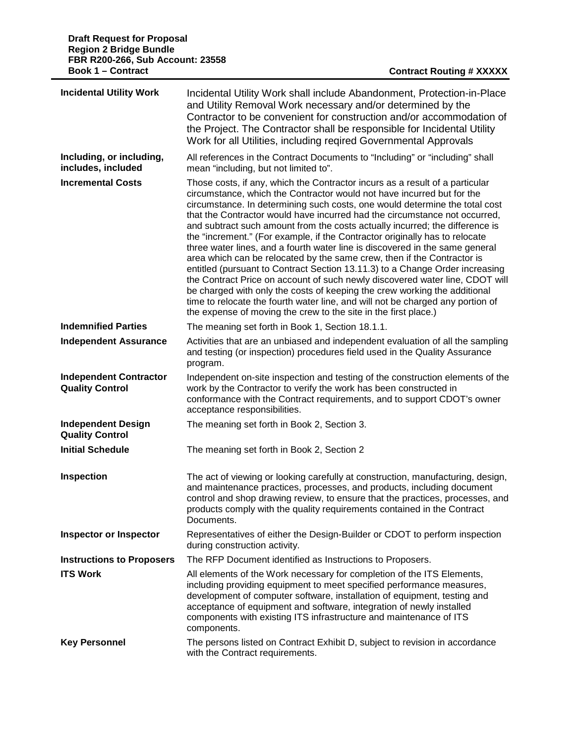| <b>Incidental Utility Work</b>                          | Incidental Utility Work shall include Abandonment, Protection-in-Place<br>and Utility Removal Work necessary and/or determined by the<br>Contractor to be convenient for construction and/or accommodation of<br>the Project. The Contractor shall be responsible for Incidental Utility<br>Work for all Utilities, including regired Governmental Approvals                                                                                                                                                                                                                                                                                                                                                                                                                                                                                                                                                                                                                                                                                    |
|---------------------------------------------------------|-------------------------------------------------------------------------------------------------------------------------------------------------------------------------------------------------------------------------------------------------------------------------------------------------------------------------------------------------------------------------------------------------------------------------------------------------------------------------------------------------------------------------------------------------------------------------------------------------------------------------------------------------------------------------------------------------------------------------------------------------------------------------------------------------------------------------------------------------------------------------------------------------------------------------------------------------------------------------------------------------------------------------------------------------|
| Including, or including,<br>includes, included          | All references in the Contract Documents to "Including" or "including" shall<br>mean "including, but not limited to".                                                                                                                                                                                                                                                                                                                                                                                                                                                                                                                                                                                                                                                                                                                                                                                                                                                                                                                           |
| <b>Incremental Costs</b>                                | Those costs, if any, which the Contractor incurs as a result of a particular<br>circumstance, which the Contractor would not have incurred but for the<br>circumstance. In determining such costs, one would determine the total cost<br>that the Contractor would have incurred had the circumstance not occurred,<br>and subtract such amount from the costs actually incurred; the difference is<br>the "increment." (For example, if the Contractor originally has to relocate<br>three water lines, and a fourth water line is discovered in the same general<br>area which can be relocated by the same crew, then if the Contractor is<br>entitled (pursuant to Contract Section 13.11.3) to a Change Order increasing<br>the Contract Price on account of such newly discovered water line, CDOT will<br>be charged with only the costs of keeping the crew working the additional<br>time to relocate the fourth water line, and will not be charged any portion of<br>the expense of moving the crew to the site in the first place.) |
| <b>Indemnified Parties</b>                              | The meaning set forth in Book 1, Section 18.1.1.                                                                                                                                                                                                                                                                                                                                                                                                                                                                                                                                                                                                                                                                                                                                                                                                                                                                                                                                                                                                |
| <b>Independent Assurance</b>                            | Activities that are an unbiased and independent evaluation of all the sampling<br>and testing (or inspection) procedures field used in the Quality Assurance<br>program.                                                                                                                                                                                                                                                                                                                                                                                                                                                                                                                                                                                                                                                                                                                                                                                                                                                                        |
| <b>Independent Contractor</b><br><b>Quality Control</b> | Independent on-site inspection and testing of the construction elements of the<br>work by the Contractor to verify the work has been constructed in<br>conformance with the Contract requirements, and to support CDOT's owner<br>acceptance responsibilities.                                                                                                                                                                                                                                                                                                                                                                                                                                                                                                                                                                                                                                                                                                                                                                                  |
| <b>Independent Design</b><br><b>Quality Control</b>     | The meaning set forth in Book 2, Section 3.                                                                                                                                                                                                                                                                                                                                                                                                                                                                                                                                                                                                                                                                                                                                                                                                                                                                                                                                                                                                     |
| <b>Initial Schedule</b>                                 | The meaning set forth in Book 2, Section 2                                                                                                                                                                                                                                                                                                                                                                                                                                                                                                                                                                                                                                                                                                                                                                                                                                                                                                                                                                                                      |
| Inspection                                              |                                                                                                                                                                                                                                                                                                                                                                                                                                                                                                                                                                                                                                                                                                                                                                                                                                                                                                                                                                                                                                                 |
|                                                         | The act of viewing or looking carefully at construction, manufacturing, design,<br>and maintenance practices, processes, and products, including document<br>control and shop drawing review, to ensure that the practices, processes, and<br>products comply with the quality requirements contained in the Contract<br>Documents.                                                                                                                                                                                                                                                                                                                                                                                                                                                                                                                                                                                                                                                                                                             |
| <b>Inspector or Inspector</b>                           | Representatives of either the Design-Builder or CDOT to perform inspection<br>during construction activity.                                                                                                                                                                                                                                                                                                                                                                                                                                                                                                                                                                                                                                                                                                                                                                                                                                                                                                                                     |
| <b>Instructions to Proposers</b>                        | The RFP Document identified as Instructions to Proposers.                                                                                                                                                                                                                                                                                                                                                                                                                                                                                                                                                                                                                                                                                                                                                                                                                                                                                                                                                                                       |
| <b>ITS Work</b>                                         | All elements of the Work necessary for completion of the ITS Elements,<br>including providing equipment to meet specified performance measures,<br>development of computer software, installation of equipment, testing and<br>acceptance of equipment and software, integration of newly installed<br>components with existing ITS infrastructure and maintenance of ITS<br>components.                                                                                                                                                                                                                                                                                                                                                                                                                                                                                                                                                                                                                                                        |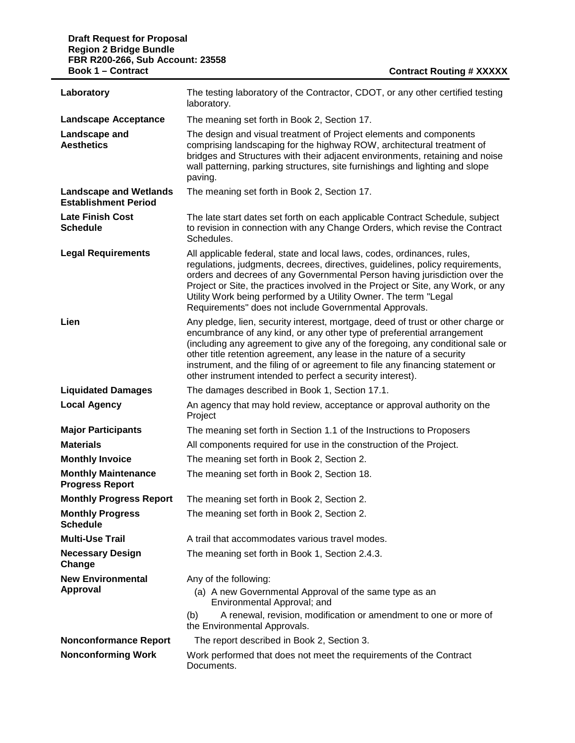| Laboratory                                                   | The testing laboratory of the Contractor, CDOT, or any other certified testing<br>laboratory.                                                                                                                                                                                                                                                                                                                                                                        |
|--------------------------------------------------------------|----------------------------------------------------------------------------------------------------------------------------------------------------------------------------------------------------------------------------------------------------------------------------------------------------------------------------------------------------------------------------------------------------------------------------------------------------------------------|
| <b>Landscape Acceptance</b>                                  | The meaning set forth in Book 2, Section 17.                                                                                                                                                                                                                                                                                                                                                                                                                         |
| Landscape and<br><b>Aesthetics</b>                           | The design and visual treatment of Project elements and components<br>comprising landscaping for the highway ROW, architectural treatment of<br>bridges and Structures with their adjacent environments, retaining and noise<br>wall patterning, parking structures, site furnishings and lighting and slope<br>paving.                                                                                                                                              |
| <b>Landscape and Wetlands</b><br><b>Establishment Period</b> | The meaning set forth in Book 2, Section 17.                                                                                                                                                                                                                                                                                                                                                                                                                         |
| <b>Late Finish Cost</b><br><b>Schedule</b>                   | The late start dates set forth on each applicable Contract Schedule, subject<br>to revision in connection with any Change Orders, which revise the Contract<br>Schedules.                                                                                                                                                                                                                                                                                            |
| <b>Legal Requirements</b>                                    | All applicable federal, state and local laws, codes, ordinances, rules,<br>regulations, judgments, decrees, directives, guidelines, policy requirements,<br>orders and decrees of any Governmental Person having jurisdiction over the<br>Project or Site, the practices involved in the Project or Site, any Work, or any<br>Utility Work being performed by a Utility Owner. The term "Legal<br>Requirements" does not include Governmental Approvals.             |
| Lien                                                         | Any pledge, lien, security interest, mortgage, deed of trust or other charge or<br>encumbrance of any kind, or any other type of preferential arrangement<br>(including any agreement to give any of the foregoing, any conditional sale or<br>other title retention agreement, any lease in the nature of a security<br>instrument, and the filing of or agreement to file any financing statement or<br>other instrument intended to perfect a security interest). |
| <b>Liquidated Damages</b>                                    | The damages described in Book 1, Section 17.1.                                                                                                                                                                                                                                                                                                                                                                                                                       |
| <b>Local Agency</b>                                          | An agency that may hold review, acceptance or approval authority on the<br>Project                                                                                                                                                                                                                                                                                                                                                                                   |
| <b>Major Participants</b>                                    | The meaning set forth in Section 1.1 of the Instructions to Proposers                                                                                                                                                                                                                                                                                                                                                                                                |
| <b>Materials</b>                                             | All components required for use in the construction of the Project.                                                                                                                                                                                                                                                                                                                                                                                                  |
| <b>Monthly Invoice</b>                                       | The meaning set forth in Book 2, Section 2.                                                                                                                                                                                                                                                                                                                                                                                                                          |
| <b>Monthly Maintenance</b><br><b>Progress Report</b>         | The meaning set forth in Book 2, Section 18.                                                                                                                                                                                                                                                                                                                                                                                                                         |
| <b>Monthly Progress Report</b>                               | The meaning set forth in Book 2, Section 2.                                                                                                                                                                                                                                                                                                                                                                                                                          |
| <b>Monthly Progress</b><br><b>Schedule</b>                   | The meaning set forth in Book 2, Section 2.                                                                                                                                                                                                                                                                                                                                                                                                                          |
| <b>Multi-Use Trail</b>                                       | A trail that accommodates various travel modes.                                                                                                                                                                                                                                                                                                                                                                                                                      |
| <b>Necessary Design</b><br>Change                            | The meaning set forth in Book 1, Section 2.4.3.                                                                                                                                                                                                                                                                                                                                                                                                                      |
| <b>New Environmental</b><br><b>Approval</b>                  | Any of the following:<br>(a) A new Governmental Approval of the same type as an<br>Environmental Approval; and<br>A renewal, revision, modification or amendment to one or more of<br>(b)<br>the Environmental Approvals.                                                                                                                                                                                                                                            |
| <b>Nonconformance Report</b>                                 | The report described in Book 2, Section 3.                                                                                                                                                                                                                                                                                                                                                                                                                           |
| <b>Nonconforming Work</b>                                    | Work performed that does not meet the requirements of the Contract<br>Documents.                                                                                                                                                                                                                                                                                                                                                                                     |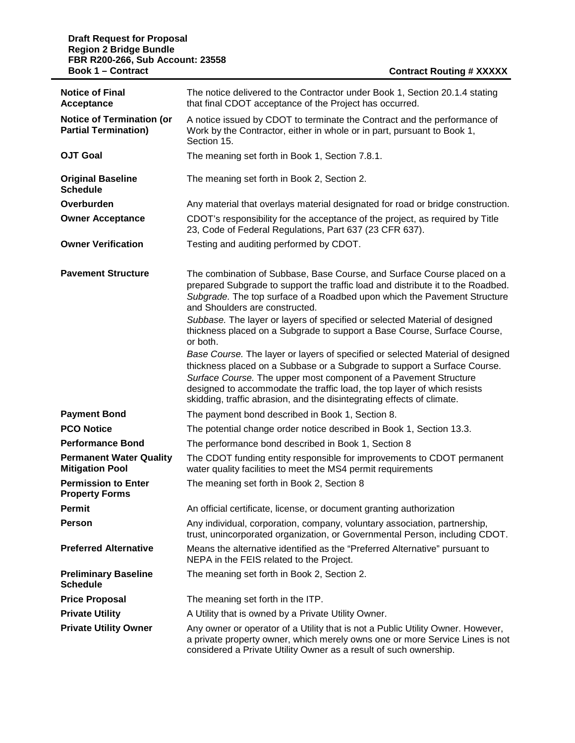| <b>Notice of Final</b><br>Acceptance                            | The notice delivered to the Contractor under Book 1, Section 20.1.4 stating<br>that final CDOT acceptance of the Project has occurred.                                                                                                                                                                                                                                               |
|-----------------------------------------------------------------|--------------------------------------------------------------------------------------------------------------------------------------------------------------------------------------------------------------------------------------------------------------------------------------------------------------------------------------------------------------------------------------|
| <b>Notice of Termination (or</b><br><b>Partial Termination)</b> | A notice issued by CDOT to terminate the Contract and the performance of<br>Work by the Contractor, either in whole or in part, pursuant to Book 1,<br>Section 15.                                                                                                                                                                                                                   |
| <b>OJT Goal</b>                                                 | The meaning set forth in Book 1, Section 7.8.1.                                                                                                                                                                                                                                                                                                                                      |
| <b>Original Baseline</b><br><b>Schedule</b>                     | The meaning set forth in Book 2, Section 2.                                                                                                                                                                                                                                                                                                                                          |
| Overburden                                                      | Any material that overlays material designated for road or bridge construction.                                                                                                                                                                                                                                                                                                      |
| <b>Owner Acceptance</b>                                         | CDOT's responsibility for the acceptance of the project, as required by Title<br>23, Code of Federal Regulations, Part 637 (23 CFR 637).                                                                                                                                                                                                                                             |
| <b>Owner Verification</b>                                       | Testing and auditing performed by CDOT.                                                                                                                                                                                                                                                                                                                                              |
| <b>Pavement Structure</b>                                       | The combination of Subbase, Base Course, and Surface Course placed on a<br>prepared Subgrade to support the traffic load and distribute it to the Roadbed.<br>Subgrade. The top surface of a Roadbed upon which the Pavement Structure<br>and Shoulders are constructed.<br>Subbase. The layer or layers of specified or selected Material of designed                               |
|                                                                 | thickness placed on a Subgrade to support a Base Course, Surface Course,<br>or both.                                                                                                                                                                                                                                                                                                 |
|                                                                 | Base Course. The layer or layers of specified or selected Material of designed<br>thickness placed on a Subbase or a Subgrade to support a Surface Course.<br>Surface Course. The upper most component of a Pavement Structure<br>designed to accommodate the traffic load, the top layer of which resists<br>skidding, traffic abrasion, and the disintegrating effects of climate. |
| <b>Payment Bond</b>                                             | The payment bond described in Book 1, Section 8.                                                                                                                                                                                                                                                                                                                                     |
| <b>PCO Notice</b>                                               | The potential change order notice described in Book 1, Section 13.3.                                                                                                                                                                                                                                                                                                                 |
| <b>Performance Bond</b>                                         | The performance bond described in Book 1, Section 8                                                                                                                                                                                                                                                                                                                                  |
| <b>Permanent Water Quality</b><br><b>Mitigation Pool</b>        | The CDOT funding entity responsible for improvements to CDOT permanent<br>water quality facilities to meet the MS4 permit requirements                                                                                                                                                                                                                                               |
| <b>Permission to Enter</b><br><b>Property Forms</b>             | The meaning set forth in Book 2, Section 8                                                                                                                                                                                                                                                                                                                                           |
| Permit                                                          | An official certificate, license, or document granting authorization                                                                                                                                                                                                                                                                                                                 |
| <b>Person</b>                                                   | Any individual, corporation, company, voluntary association, partnership,<br>trust, unincorporated organization, or Governmental Person, including CDOT.                                                                                                                                                                                                                             |
| <b>Preferred Alternative</b>                                    | Means the alternative identified as the "Preferred Alternative" pursuant to<br>NEPA in the FEIS related to the Project.                                                                                                                                                                                                                                                              |
| <b>Preliminary Baseline</b><br><b>Schedule</b>                  | The meaning set forth in Book 2, Section 2.                                                                                                                                                                                                                                                                                                                                          |
| <b>Price Proposal</b>                                           | The meaning set forth in the ITP.                                                                                                                                                                                                                                                                                                                                                    |
| <b>Private Utility</b>                                          | A Utility that is owned by a Private Utility Owner.                                                                                                                                                                                                                                                                                                                                  |
| <b>Private Utility Owner</b>                                    | Any owner or operator of a Utility that is not a Public Utility Owner. However,<br>a private property owner, which merely owns one or more Service Lines is not<br>considered a Private Utility Owner as a result of such ownership.                                                                                                                                                 |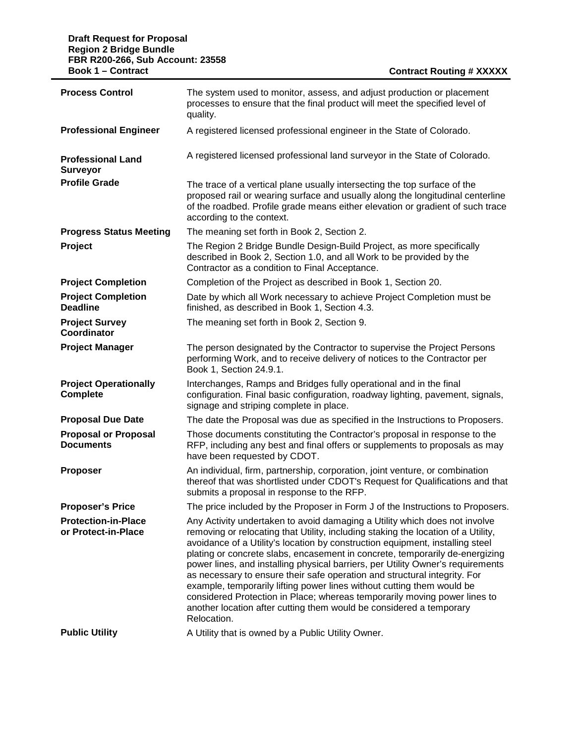## **Draft Request for Proposal Region 2 Bridge Bundle FBR R200-266, Sub Account: 23558**

| <b>Process Control</b>                            | The system used to monitor, assess, and adjust production or placement<br>processes to ensure that the final product will meet the specified level of<br>quality.                                                                                                                                                                |
|---------------------------------------------------|----------------------------------------------------------------------------------------------------------------------------------------------------------------------------------------------------------------------------------------------------------------------------------------------------------------------------------|
| <b>Professional Engineer</b>                      | A registered licensed professional engineer in the State of Colorado.                                                                                                                                                                                                                                                            |
| <b>Professional Land</b><br><b>Surveyor</b>       | A registered licensed professional land surveyor in the State of Colorado.                                                                                                                                                                                                                                                       |
| <b>Profile Grade</b>                              | The trace of a vertical plane usually intersecting the top surface of the<br>proposed rail or wearing surface and usually along the longitudinal centerline<br>of the roadbed. Profile grade means either elevation or gradient of such trace<br>according to the context.                                                       |
| <b>Progress Status Meeting</b>                    | The meaning set forth in Book 2, Section 2.                                                                                                                                                                                                                                                                                      |
| Project                                           | The Region 2 Bridge Bundle Design-Build Project, as more specifically<br>described in Book 2, Section 1.0, and all Work to be provided by the<br>Contractor as a condition to Final Acceptance.                                                                                                                                  |
| <b>Project Completion</b>                         | Completion of the Project as described in Book 1, Section 20.                                                                                                                                                                                                                                                                    |
| <b>Project Completion</b><br><b>Deadline</b>      | Date by which all Work necessary to achieve Project Completion must be<br>finished, as described in Book 1, Section 4.3.                                                                                                                                                                                                         |
| <b>Project Survey</b><br>Coordinator              | The meaning set forth in Book 2, Section 9.                                                                                                                                                                                                                                                                                      |
| <b>Project Manager</b>                            | The person designated by the Contractor to supervise the Project Persons<br>performing Work, and to receive delivery of notices to the Contractor per<br>Book 1, Section 24.9.1.                                                                                                                                                 |
| <b>Project Operationally</b><br><b>Complete</b>   | Interchanges, Ramps and Bridges fully operational and in the final<br>configuration. Final basic configuration, roadway lighting, pavement, signals,<br>signage and striping complete in place.                                                                                                                                  |
| <b>Proposal Due Date</b>                          | The date the Proposal was due as specified in the Instructions to Proposers.                                                                                                                                                                                                                                                     |
| <b>Proposal or Proposal</b><br><b>Documents</b>   | Those documents constituting the Contractor's proposal in response to the<br>RFP, including any best and final offers or supplements to proposals as may<br>have been requested by CDOT.                                                                                                                                         |
| <b>Proposer</b>                                   | An individual, firm, partnership, corporation, joint venture, or combination<br>thereof that was shortlisted under CDOT's Request for Qualifications and that<br>submits a proposal in response to the RFP.                                                                                                                      |
| <b>Proposer's Price</b>                           | The price included by the Proposer in Form J of the Instructions to Proposers.                                                                                                                                                                                                                                                   |
| <b>Protection-in-Place</b><br>or Protect-in-Place | Any Activity undertaken to avoid damaging a Utility which does not involve<br>removing or relocating that Utility, including staking the location of a Utility,<br>avoidance of a Utility's location by construction equipment, installing steel<br>plating or concrete slabs, encasement in concrete, temporarily de-energizing |

**Book 1 – Contract Contract Routing # XXXXX**

**Public Utility** A Utility that is owned by a Public Utility Owner.

Relocation.

power lines, and installing physical barriers, per Utility Owner's requirements as necessary to ensure their safe operation and structural integrity. For example, temporarily lifting power lines without cutting them would be considered Protection in Place; whereas temporarily moving power lines to another location after cutting them would be considered a temporary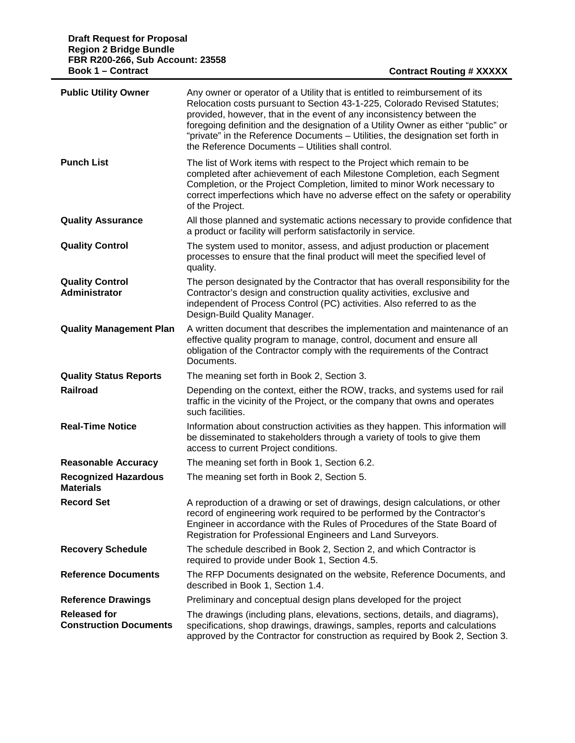| <b>Public Utility Owner</b>                          | Any owner or operator of a Utility that is entitled to reimbursement of its<br>Relocation costs pursuant to Section 43-1-225, Colorado Revised Statutes;<br>provided, however, that in the event of any inconsistency between the<br>foregoing definition and the designation of a Utility Owner as either "public" or<br>"private" in the Reference Documents - Utilities, the designation set forth in<br>the Reference Documents - Utilities shall control. |
|------------------------------------------------------|----------------------------------------------------------------------------------------------------------------------------------------------------------------------------------------------------------------------------------------------------------------------------------------------------------------------------------------------------------------------------------------------------------------------------------------------------------------|
| <b>Punch List</b>                                    | The list of Work items with respect to the Project which remain to be<br>completed after achievement of each Milestone Completion, each Segment<br>Completion, or the Project Completion, limited to minor Work necessary to<br>correct imperfections which have no adverse effect on the safety or operability<br>of the Project.                                                                                                                             |
| <b>Quality Assurance</b>                             | All those planned and systematic actions necessary to provide confidence that<br>a product or facility will perform satisfactorily in service.                                                                                                                                                                                                                                                                                                                 |
| <b>Quality Control</b>                               | The system used to monitor, assess, and adjust production or placement<br>processes to ensure that the final product will meet the specified level of<br>quality.                                                                                                                                                                                                                                                                                              |
| <b>Quality Control</b><br>Administrator              | The person designated by the Contractor that has overall responsibility for the<br>Contractor's design and construction quality activities, exclusive and<br>independent of Process Control (PC) activities. Also referred to as the<br>Design-Build Quality Manager.                                                                                                                                                                                          |
| <b>Quality Management Plan</b>                       | A written document that describes the implementation and maintenance of an<br>effective quality program to manage, control, document and ensure all<br>obligation of the Contractor comply with the requirements of the Contract<br>Documents.                                                                                                                                                                                                                 |
| <b>Quality Status Reports</b>                        | The meaning set forth in Book 2, Section 3.                                                                                                                                                                                                                                                                                                                                                                                                                    |
| <b>Railroad</b>                                      | Depending on the context, either the ROW, tracks, and systems used for rail<br>traffic in the vicinity of the Project, or the company that owns and operates<br>such facilities.                                                                                                                                                                                                                                                                               |
| <b>Real-Time Notice</b>                              | Information about construction activities as they happen. This information will<br>be disseminated to stakeholders through a variety of tools to give them<br>access to current Project conditions.                                                                                                                                                                                                                                                            |
| <b>Reasonable Accuracy</b>                           | The meaning set forth in Book 1, Section 6.2.                                                                                                                                                                                                                                                                                                                                                                                                                  |
| <b>Recognized Hazardous</b><br><b>Materials</b>      | The meaning set forth in Book 2, Section 5.                                                                                                                                                                                                                                                                                                                                                                                                                    |
| <b>Record Set</b>                                    | A reproduction of a drawing or set of drawings, design calculations, or other<br>record of engineering work required to be performed by the Contractor's<br>Engineer in accordance with the Rules of Procedures of the State Board of<br>Registration for Professional Engineers and Land Surveyors.                                                                                                                                                           |
| <b>Recovery Schedule</b>                             | The schedule described in Book 2, Section 2, and which Contractor is<br>required to provide under Book 1, Section 4.5.                                                                                                                                                                                                                                                                                                                                         |
| <b>Reference Documents</b>                           | The RFP Documents designated on the website, Reference Documents, and<br>described in Book 1, Section 1.4.                                                                                                                                                                                                                                                                                                                                                     |
| <b>Reference Drawings</b>                            | Preliminary and conceptual design plans developed for the project                                                                                                                                                                                                                                                                                                                                                                                              |
| <b>Released for</b><br><b>Construction Documents</b> | The drawings (including plans, elevations, sections, details, and diagrams),<br>specifications, shop drawings, drawings, samples, reports and calculations<br>approved by the Contractor for construction as required by Book 2, Section 3.                                                                                                                                                                                                                    |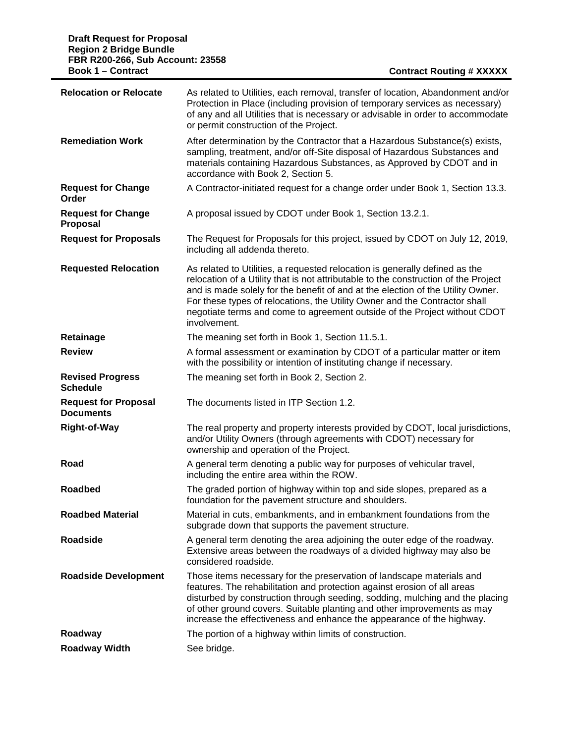| <b>Relocation or Relocate</b>                   | As related to Utilities, each removal, transfer of location, Abandonment and/or<br>Protection in Place (including provision of temporary services as necessary)<br>of any and all Utilities that is necessary or advisable in order to accommodate<br>or permit construction of the Project.                                                                                                                                     |
|-------------------------------------------------|----------------------------------------------------------------------------------------------------------------------------------------------------------------------------------------------------------------------------------------------------------------------------------------------------------------------------------------------------------------------------------------------------------------------------------|
| <b>Remediation Work</b>                         | After determination by the Contractor that a Hazardous Substance(s) exists,<br>sampling, treatment, and/or off-Site disposal of Hazardous Substances and<br>materials containing Hazardous Substances, as Approved by CDOT and in<br>accordance with Book 2, Section 5.                                                                                                                                                          |
| <b>Request for Change</b><br>Order              | A Contractor-initiated request for a change order under Book 1, Section 13.3.                                                                                                                                                                                                                                                                                                                                                    |
| <b>Request for Change</b><br>Proposal           | A proposal issued by CDOT under Book 1, Section 13.2.1.                                                                                                                                                                                                                                                                                                                                                                          |
| <b>Request for Proposals</b>                    | The Request for Proposals for this project, issued by CDOT on July 12, 2019,<br>including all addenda thereto.                                                                                                                                                                                                                                                                                                                   |
| <b>Requested Relocation</b>                     | As related to Utilities, a requested relocation is generally defined as the<br>relocation of a Utility that is not attributable to the construction of the Project<br>and is made solely for the benefit of and at the election of the Utility Owner.<br>For these types of relocations, the Utility Owner and the Contractor shall<br>negotiate terms and come to agreement outside of the Project without CDOT<br>involvement. |
| Retainage                                       | The meaning set forth in Book 1, Section 11.5.1.                                                                                                                                                                                                                                                                                                                                                                                 |
| <b>Review</b>                                   | A formal assessment or examination by CDOT of a particular matter or item<br>with the possibility or intention of instituting change if necessary.                                                                                                                                                                                                                                                                               |
| <b>Revised Progress</b><br><b>Schedule</b>      | The meaning set forth in Book 2, Section 2.                                                                                                                                                                                                                                                                                                                                                                                      |
| <b>Request for Proposal</b><br><b>Documents</b> | The documents listed in ITP Section 1.2.                                                                                                                                                                                                                                                                                                                                                                                         |
| <b>Right-of-Way</b>                             | The real property and property interests provided by CDOT, local jurisdictions,<br>and/or Utility Owners (through agreements with CDOT) necessary for<br>ownership and operation of the Project.                                                                                                                                                                                                                                 |
| Road                                            | A general term denoting a public way for purposes of vehicular travel,<br>including the entire area within the ROW.                                                                                                                                                                                                                                                                                                              |
| <b>Roadbed</b>                                  | The graded portion of highway within top and side slopes, prepared as a<br>foundation for the pavement structure and shoulders.                                                                                                                                                                                                                                                                                                  |
| <b>Roadbed Material</b>                         | Material in cuts, embankments, and in embankment foundations from the<br>subgrade down that supports the pavement structure.                                                                                                                                                                                                                                                                                                     |
| Roadside                                        | A general term denoting the area adjoining the outer edge of the roadway.<br>Extensive areas between the roadways of a divided highway may also be<br>considered roadside.                                                                                                                                                                                                                                                       |
| <b>Roadside Development</b>                     | Those items necessary for the preservation of landscape materials and<br>features. The rehabilitation and protection against erosion of all areas<br>disturbed by construction through seeding, sodding, mulching and the placing<br>of other ground covers. Suitable planting and other improvements as may<br>increase the effectiveness and enhance the appearance of the highway.                                            |
| Roadway                                         | The portion of a highway within limits of construction.                                                                                                                                                                                                                                                                                                                                                                          |
| <b>Roadway Width</b>                            | See bridge.                                                                                                                                                                                                                                                                                                                                                                                                                      |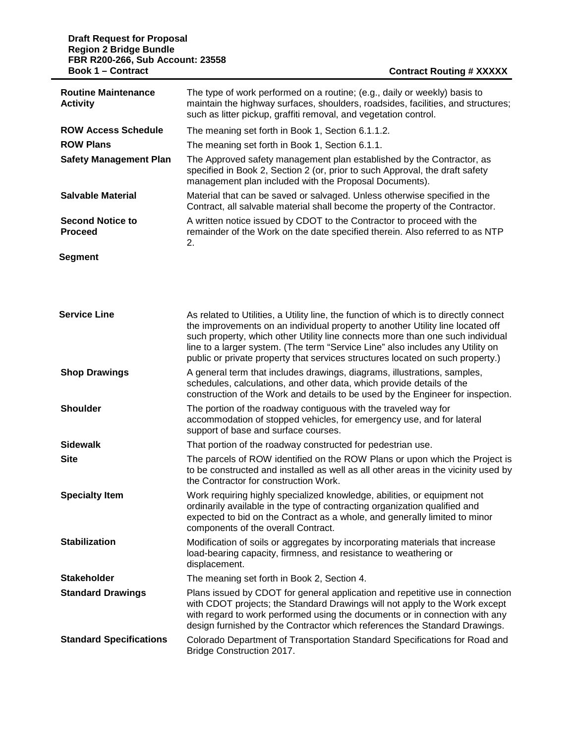| <b>Routine Maintenance</b><br><b>Activity</b> | The type of work performed on a routine; (e.g., daily or weekly) basis to<br>maintain the highway surfaces, shoulders, roadsides, facilities, and structures;<br>such as litter pickup, graffiti removal, and vegetation control.                                                                                                                                                                                             |
|-----------------------------------------------|-------------------------------------------------------------------------------------------------------------------------------------------------------------------------------------------------------------------------------------------------------------------------------------------------------------------------------------------------------------------------------------------------------------------------------|
| <b>ROW Access Schedule</b>                    | The meaning set forth in Book 1, Section 6.1.1.2.                                                                                                                                                                                                                                                                                                                                                                             |
| <b>ROW Plans</b>                              | The meaning set forth in Book 1, Section 6.1.1.                                                                                                                                                                                                                                                                                                                                                                               |
| <b>Safety Management Plan</b>                 | The Approved safety management plan established by the Contractor, as<br>specified in Book 2, Section 2 (or, prior to such Approval, the draft safety<br>management plan included with the Proposal Documents).                                                                                                                                                                                                               |
| <b>Salvable Material</b>                      | Material that can be saved or salvaged. Unless otherwise specified in the<br>Contract, all salvable material shall become the property of the Contractor.                                                                                                                                                                                                                                                                     |
| <b>Second Notice to</b><br><b>Proceed</b>     | A written notice issued by CDOT to the Contractor to proceed with the<br>remainder of the Work on the date specified therein. Also referred to as NTP<br>2.                                                                                                                                                                                                                                                                   |
| <b>Segment</b>                                |                                                                                                                                                                                                                                                                                                                                                                                                                               |
| <b>Service Line</b>                           | As related to Utilities, a Utility line, the function of which is to directly connect<br>the improvements on an individual property to another Utility line located off<br>such property, which other Utility line connects more than one such individual<br>line to a larger system. (The term "Service Line" also includes any Utility on<br>public or private property that services structures located on such property.) |
| <b>Shop Drawings</b>                          | A general term that includes drawings, diagrams, illustrations, samples,<br>schedules, calculations, and other data, which provide details of the<br>construction of the Work and details to be used by the Engineer for inspection.                                                                                                                                                                                          |
| <b>Shoulder</b>                               | The portion of the roadway contiguous with the traveled way for<br>accommodation of stopped vehicles, for emergency use, and for lateral<br>support of base and surface courses.                                                                                                                                                                                                                                              |
| <b>Sidewalk</b>                               | That portion of the roadway constructed for pedestrian use.                                                                                                                                                                                                                                                                                                                                                                   |
| <b>Site</b>                                   | The parcels of ROW identified on the ROW Plans or upon which the Project is<br>to be constructed and installed as well as all other areas in the vicinity used by<br>the Contractor for construction Work.                                                                                                                                                                                                                    |
| <b>Specialty Item</b>                         | Work requiring highly specialized knowledge, abilities, or equipment not<br>ordinarily available in the type of contracting organization qualified and<br>expected to bid on the Contract as a whole, and generally limited to minor<br>components of the overall Contract.                                                                                                                                                   |
| <b>Stabilization</b>                          | Modification of soils or aggregates by incorporating materials that increase<br>load-bearing capacity, firmness, and resistance to weathering or<br>displacement.                                                                                                                                                                                                                                                             |
| <b>Stakeholder</b>                            | The meaning set forth in Book 2, Section 4.                                                                                                                                                                                                                                                                                                                                                                                   |
| <b>Standard Drawings</b>                      | Plans issued by CDOT for general application and repetitive use in connection<br>with CDOT projects; the Standard Drawings will not apply to the Work except<br>with regard to work performed using the documents or in connection with any<br>design furnished by the Contractor which references the Standard Drawings.                                                                                                     |
| <b>Standard Specifications</b>                | Colorado Department of Transportation Standard Specifications for Road and<br>Bridge Construction 2017.                                                                                                                                                                                                                                                                                                                       |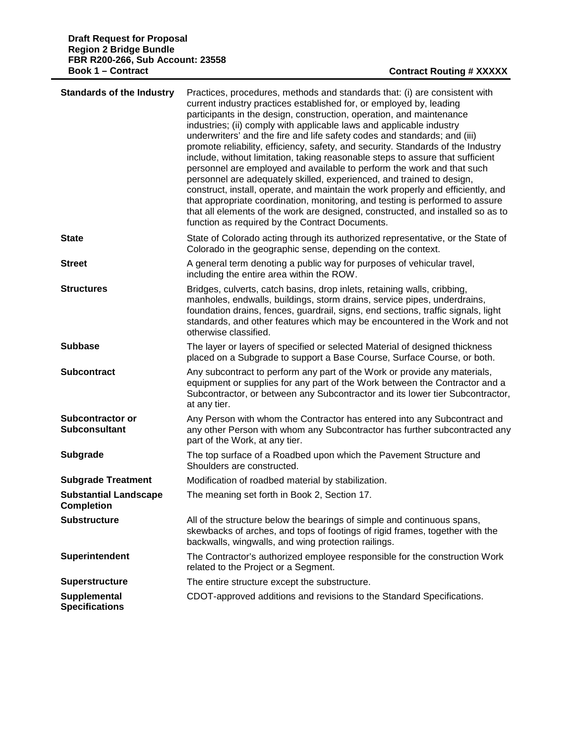| <b>Standards of the Industry</b>                  | Practices, procedures, methods and standards that: (i) are consistent with<br>current industry practices established for, or employed by, leading<br>participants in the design, construction, operation, and maintenance<br>industries; (ii) comply with applicable laws and applicable industry<br>underwriters' and the fire and life safety codes and standards; and (iii)<br>promote reliability, efficiency, safety, and security. Standards of the Industry<br>include, without limitation, taking reasonable steps to assure that sufficient<br>personnel are employed and available to perform the work and that such<br>personnel are adequately skilled, experienced, and trained to design,<br>construct, install, operate, and maintain the work properly and efficiently, and<br>that appropriate coordination, monitoring, and testing is performed to assure<br>that all elements of the work are designed, constructed, and installed so as to<br>function as required by the Contract Documents. |
|---------------------------------------------------|--------------------------------------------------------------------------------------------------------------------------------------------------------------------------------------------------------------------------------------------------------------------------------------------------------------------------------------------------------------------------------------------------------------------------------------------------------------------------------------------------------------------------------------------------------------------------------------------------------------------------------------------------------------------------------------------------------------------------------------------------------------------------------------------------------------------------------------------------------------------------------------------------------------------------------------------------------------------------------------------------------------------|
| <b>State</b>                                      | State of Colorado acting through its authorized representative, or the State of<br>Colorado in the geographic sense, depending on the context.                                                                                                                                                                                                                                                                                                                                                                                                                                                                                                                                                                                                                                                                                                                                                                                                                                                                     |
| <b>Street</b>                                     | A general term denoting a public way for purposes of vehicular travel,<br>including the entire area within the ROW.                                                                                                                                                                                                                                                                                                                                                                                                                                                                                                                                                                                                                                                                                                                                                                                                                                                                                                |
| <b>Structures</b>                                 | Bridges, culverts, catch basins, drop inlets, retaining walls, cribbing,<br>manholes, endwalls, buildings, storm drains, service pipes, underdrains,<br>foundation drains, fences, guardrail, signs, end sections, traffic signals, light<br>standards, and other features which may be encountered in the Work and not<br>otherwise classified.                                                                                                                                                                                                                                                                                                                                                                                                                                                                                                                                                                                                                                                                   |
| <b>Subbase</b>                                    | The layer or layers of specified or selected Material of designed thickness<br>placed on a Subgrade to support a Base Course, Surface Course, or both.                                                                                                                                                                                                                                                                                                                                                                                                                                                                                                                                                                                                                                                                                                                                                                                                                                                             |
| <b>Subcontract</b>                                | Any subcontract to perform any part of the Work or provide any materials,<br>equipment or supplies for any part of the Work between the Contractor and a<br>Subcontractor, or between any Subcontractor and its lower tier Subcontractor,<br>at any tier.                                                                                                                                                                                                                                                                                                                                                                                                                                                                                                                                                                                                                                                                                                                                                          |
| Subcontractor or<br><b>Subconsultant</b>          | Any Person with whom the Contractor has entered into any Subcontract and<br>any other Person with whom any Subcontractor has further subcontracted any<br>part of the Work, at any tier.                                                                                                                                                                                                                                                                                                                                                                                                                                                                                                                                                                                                                                                                                                                                                                                                                           |
| <b>Subgrade</b>                                   | The top surface of a Roadbed upon which the Pavement Structure and<br>Shoulders are constructed.                                                                                                                                                                                                                                                                                                                                                                                                                                                                                                                                                                                                                                                                                                                                                                                                                                                                                                                   |
| <b>Subgrade Treatment</b>                         | Modification of roadbed material by stabilization.                                                                                                                                                                                                                                                                                                                                                                                                                                                                                                                                                                                                                                                                                                                                                                                                                                                                                                                                                                 |
| <b>Substantial Landscape</b><br><b>Completion</b> | The meaning set forth in Book 2, Section 17.                                                                                                                                                                                                                                                                                                                                                                                                                                                                                                                                                                                                                                                                                                                                                                                                                                                                                                                                                                       |
| <b>Substructure</b>                               | All of the structure below the bearings of simple and continuous spans,<br>skewbacks of arches, and tops of footings of rigid frames, together with the<br>backwalls, wingwalls, and wing protection railings.                                                                                                                                                                                                                                                                                                                                                                                                                                                                                                                                                                                                                                                                                                                                                                                                     |
| Superintendent                                    | The Contractor's authorized employee responsible for the construction Work<br>related to the Project or a Segment.                                                                                                                                                                                                                                                                                                                                                                                                                                                                                                                                                                                                                                                                                                                                                                                                                                                                                                 |
| <b>Superstructure</b>                             | The entire structure except the substructure.                                                                                                                                                                                                                                                                                                                                                                                                                                                                                                                                                                                                                                                                                                                                                                                                                                                                                                                                                                      |
| Supplemental<br><b>Specifications</b>             | CDOT-approved additions and revisions to the Standard Specifications.                                                                                                                                                                                                                                                                                                                                                                                                                                                                                                                                                                                                                                                                                                                                                                                                                                                                                                                                              |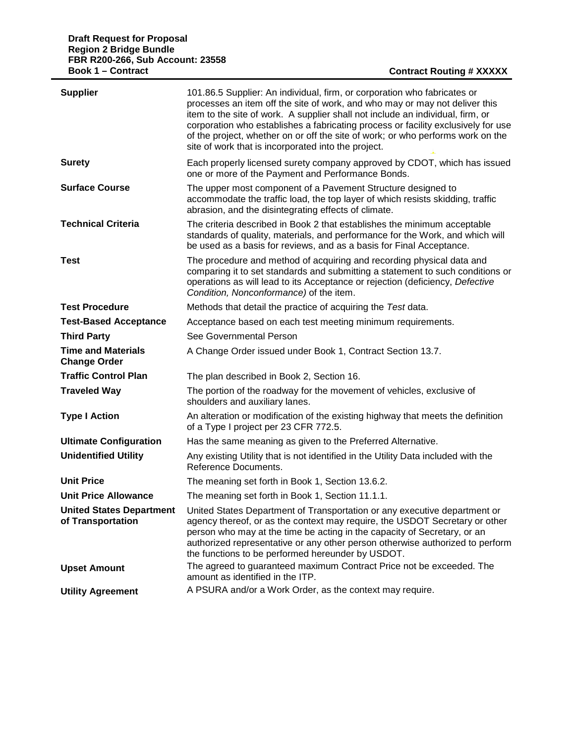| <b>Supplier</b>                                      | 101.86.5 Supplier: An individual, firm, or corporation who fabricates or<br>processes an item off the site of work, and who may or may not deliver this<br>item to the site of work. A supplier shall not include an individual, firm, or<br>corporation who establishes a fabricating process or facility exclusively for use<br>of the project, whether on or off the site of work; or who performs work on the<br>site of work that is incorporated into the project. |
|------------------------------------------------------|--------------------------------------------------------------------------------------------------------------------------------------------------------------------------------------------------------------------------------------------------------------------------------------------------------------------------------------------------------------------------------------------------------------------------------------------------------------------------|
| <b>Surety</b>                                        | Each properly licensed surety company approved by CDOT, which has issued<br>one or more of the Payment and Performance Bonds.                                                                                                                                                                                                                                                                                                                                            |
| <b>Surface Course</b>                                | The upper most component of a Pavement Structure designed to<br>accommodate the traffic load, the top layer of which resists skidding, traffic<br>abrasion, and the disintegrating effects of climate.                                                                                                                                                                                                                                                                   |
| <b>Technical Criteria</b>                            | The criteria described in Book 2 that establishes the minimum acceptable<br>standards of quality, materials, and performance for the Work, and which will<br>be used as a basis for reviews, and as a basis for Final Acceptance.                                                                                                                                                                                                                                        |
| Test                                                 | The procedure and method of acquiring and recording physical data and<br>comparing it to set standards and submitting a statement to such conditions or<br>operations as will lead to its Acceptance or rejection (deficiency, Defective<br>Condition, Nonconformance) of the item.                                                                                                                                                                                      |
| <b>Test Procedure</b>                                | Methods that detail the practice of acquiring the Test data.                                                                                                                                                                                                                                                                                                                                                                                                             |
| <b>Test-Based Acceptance</b>                         | Acceptance based on each test meeting minimum requirements.                                                                                                                                                                                                                                                                                                                                                                                                              |
| <b>Third Party</b>                                   | See Governmental Person                                                                                                                                                                                                                                                                                                                                                                                                                                                  |
| <b>Time and Materials</b><br><b>Change Order</b>     | A Change Order issued under Book 1, Contract Section 13.7.                                                                                                                                                                                                                                                                                                                                                                                                               |
| <b>Traffic Control Plan</b>                          | The plan described in Book 2, Section 16.                                                                                                                                                                                                                                                                                                                                                                                                                                |
| <b>Traveled Way</b>                                  | The portion of the roadway for the movement of vehicles, exclusive of<br>shoulders and auxiliary lanes.                                                                                                                                                                                                                                                                                                                                                                  |
| <b>Type I Action</b>                                 | An alteration or modification of the existing highway that meets the definition<br>of a Type I project per 23 CFR 772.5.                                                                                                                                                                                                                                                                                                                                                 |
| <b>Ultimate Configuration</b>                        | Has the same meaning as given to the Preferred Alternative.                                                                                                                                                                                                                                                                                                                                                                                                              |
| <b>Unidentified Utility</b>                          | Any existing Utility that is not identified in the Utility Data included with the<br>Reference Documents.                                                                                                                                                                                                                                                                                                                                                                |
| <b>Unit Price</b>                                    | The meaning set forth in Book 1, Section 13.6.2.                                                                                                                                                                                                                                                                                                                                                                                                                         |
| <b>Unit Price Allowance</b>                          | The meaning set forth in Book 1, Section 11.1.1.                                                                                                                                                                                                                                                                                                                                                                                                                         |
| <b>United States Department</b><br>of Transportation | United States Department of Transportation or any executive department or<br>agency thereof, or as the context may require, the USDOT Secretary or other<br>person who may at the time be acting in the capacity of Secretary, or an<br>authorized representative or any other person otherwise authorized to perform<br>the functions to be performed hereunder by USDOT.                                                                                               |
| <b>Upset Amount</b>                                  | The agreed to guaranteed maximum Contract Price not be exceeded. The<br>amount as identified in the ITP.                                                                                                                                                                                                                                                                                                                                                                 |
| <b>Utility Agreement</b>                             | A PSURA and/or a Work Order, as the context may require.                                                                                                                                                                                                                                                                                                                                                                                                                 |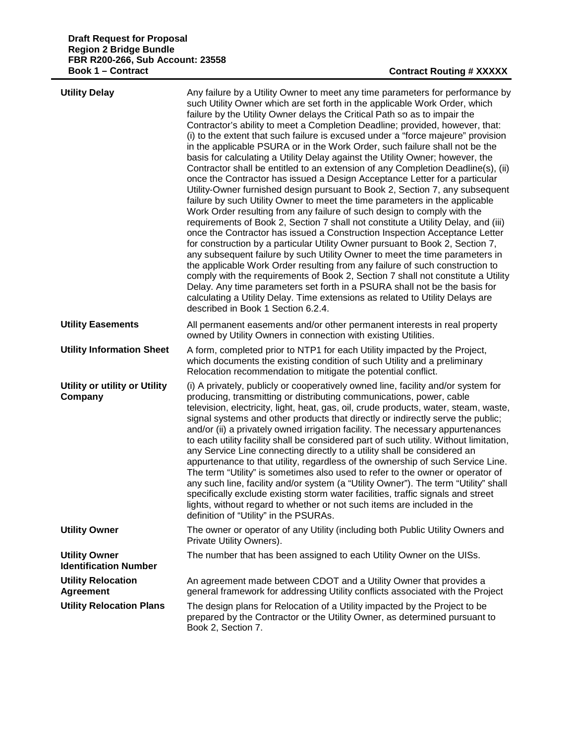| <b>Utility Delay</b>                                 | Any failure by a Utility Owner to meet any time parameters for performance by<br>such Utility Owner which are set forth in the applicable Work Order, which<br>failure by the Utility Owner delays the Critical Path so as to impair the<br>Contractor's ability to meet a Completion Deadline; provided, however, that:<br>(i) to the extent that such failure is excused under a "force majeure" provision<br>in the applicable PSURA or in the Work Order, such failure shall not be the<br>basis for calculating a Utility Delay against the Utility Owner; however, the<br>Contractor shall be entitled to an extension of any Completion Deadline(s), (ii)<br>once the Contractor has issued a Design Acceptance Letter for a particular<br>Utility-Owner furnished design pursuant to Book 2, Section 7, any subsequent<br>failure by such Utility Owner to meet the time parameters in the applicable<br>Work Order resulting from any failure of such design to comply with the<br>requirements of Book 2, Section 7 shall not constitute a Utility Delay, and (iii)<br>once the Contractor has issued a Construction Inspection Acceptance Letter<br>for construction by a particular Utility Owner pursuant to Book 2, Section 7,<br>any subsequent failure by such Utility Owner to meet the time parameters in<br>the applicable Work Order resulting from any failure of such construction to<br>comply with the requirements of Book 2, Section 7 shall not constitute a Utility<br>Delay. Any time parameters set forth in a PSURA shall not be the basis for<br>calculating a Utility Delay. Time extensions as related to Utility Delays are<br>described in Book 1 Section 6.2.4. |
|------------------------------------------------------|------------------------------------------------------------------------------------------------------------------------------------------------------------------------------------------------------------------------------------------------------------------------------------------------------------------------------------------------------------------------------------------------------------------------------------------------------------------------------------------------------------------------------------------------------------------------------------------------------------------------------------------------------------------------------------------------------------------------------------------------------------------------------------------------------------------------------------------------------------------------------------------------------------------------------------------------------------------------------------------------------------------------------------------------------------------------------------------------------------------------------------------------------------------------------------------------------------------------------------------------------------------------------------------------------------------------------------------------------------------------------------------------------------------------------------------------------------------------------------------------------------------------------------------------------------------------------------------------------------------------------------------------------------------------------------------------------|
| <b>Utility Easements</b>                             | All permanent easements and/or other permanent interests in real property<br>owned by Utility Owners in connection with existing Utilities.                                                                                                                                                                                                                                                                                                                                                                                                                                                                                                                                                                                                                                                                                                                                                                                                                                                                                                                                                                                                                                                                                                                                                                                                                                                                                                                                                                                                                                                                                                                                                          |
| <b>Utility Information Sheet</b>                     | A form, completed prior to NTP1 for each Utility impacted by the Project,<br>which documents the existing condition of such Utility and a preliminary<br>Relocation recommendation to mitigate the potential conflict.                                                                                                                                                                                                                                                                                                                                                                                                                                                                                                                                                                                                                                                                                                                                                                                                                                                                                                                                                                                                                                                                                                                                                                                                                                                                                                                                                                                                                                                                               |
| Utility or utility or Utility<br>Company             | (i) A privately, publicly or cooperatively owned line, facility and/or system for<br>producing, transmitting or distributing communications, power, cable<br>television, electricity, light, heat, gas, oil, crude products, water, steam, waste,<br>signal systems and other products that directly or indirectly serve the public;<br>and/or (ii) a privately owned irrigation facility. The necessary appurtenances<br>to each utility facility shall be considered part of such utility. Without limitation,<br>any Service Line connecting directly to a utility shall be considered an<br>appurtenance to that utility, regardless of the ownership of such Service Line.<br>The term "Utility" is sometimes also used to refer to the owner or operator of<br>any such line, facility and/or system (a "Utility Owner"). The term "Utility" shall<br>specifically exclude existing storm water facilities, traffic signals and street<br>lights, without regard to whether or not such items are included in the<br>definition of "Utility" in the PSURAs.                                                                                                                                                                                                                                                                                                                                                                                                                                                                                                                                                                                                                                    |
| <b>Utility Owner</b>                                 | The owner or operator of any Utility (including both Public Utility Owners and<br>Private Utility Owners).                                                                                                                                                                                                                                                                                                                                                                                                                                                                                                                                                                                                                                                                                                                                                                                                                                                                                                                                                                                                                                                                                                                                                                                                                                                                                                                                                                                                                                                                                                                                                                                           |
| <b>Utility Owner</b><br><b>Identification Number</b> | The number that has been assigned to each Utility Owner on the UISs.                                                                                                                                                                                                                                                                                                                                                                                                                                                                                                                                                                                                                                                                                                                                                                                                                                                                                                                                                                                                                                                                                                                                                                                                                                                                                                                                                                                                                                                                                                                                                                                                                                 |
| <b>Utility Relocation</b><br><b>Agreement</b>        | An agreement made between CDOT and a Utility Owner that provides a<br>general framework for addressing Utility conflicts associated with the Project                                                                                                                                                                                                                                                                                                                                                                                                                                                                                                                                                                                                                                                                                                                                                                                                                                                                                                                                                                                                                                                                                                                                                                                                                                                                                                                                                                                                                                                                                                                                                 |
| <b>Utility Relocation Plans</b>                      | The design plans for Relocation of a Utility impacted by the Project to be<br>prepared by the Contractor or the Utility Owner, as determined pursuant to<br>Book 2, Section 7.                                                                                                                                                                                                                                                                                                                                                                                                                                                                                                                                                                                                                                                                                                                                                                                                                                                                                                                                                                                                                                                                                                                                                                                                                                                                                                                                                                                                                                                                                                                       |